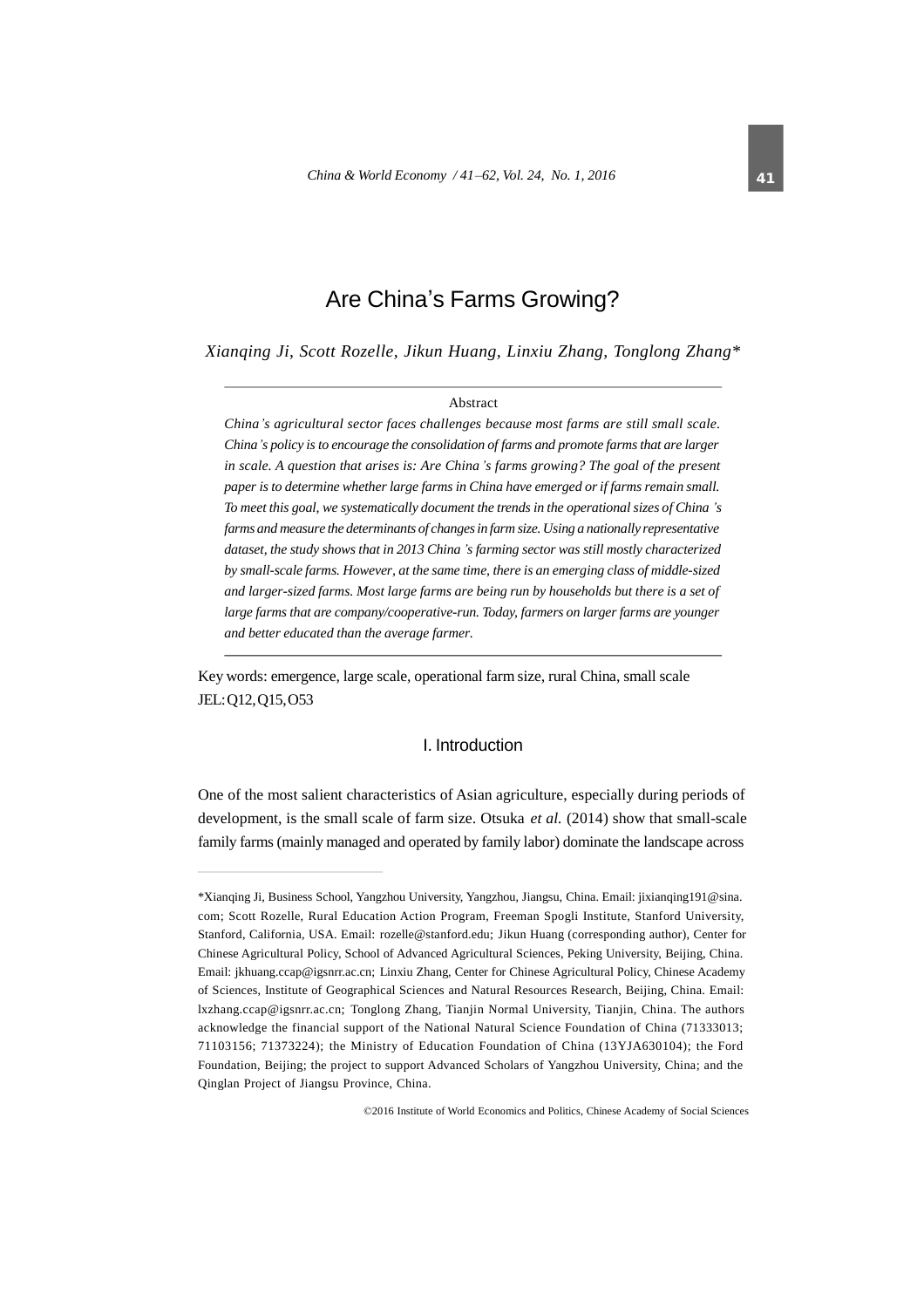# Are China's Farms Growing?

*Xianqing Ji, Scott Rozelle, Jikun Huang, Linxiu Zhang, Tonglong Zhang\**

#### Abstract

*China's agricultural sector faces challenges because most farms are still small scale. China's policy is to encourage the consolidation of farms and promote farmsthat are larger in scale. A question that arises is: Are China's farms growing? The goal of the present paper is to determine whether large farms in China have emerged orif farms remain small. To meet this goal, we systematically document the trends in the operational sizes of China 's farms and measure the determinants of changesin farm size.Using a nationally representative dataset, the study shows that in 2013 China 's farming sector was still mostly characterized by small-scale farms. However, at the same time, there is an emerging class of middle-sized and larger-sized farms. Most large farms are being run by households but there is a set of large farms that are company/cooperative-run. Today, farmers on larger farms are younger and better educated than the average farmer.*

Key words: emergence, large scale, operational farm size, rural China, small scale JEL:Q12,Q15,O53

## I. Introduction

One of the most salient characteristics of Asian agriculture, especially during periods of development, is the small scale of farm size. Otsuka *et al.* (2014) show that small-scale family farms (mainly managed and operated by family labor) dominate the landscape across

<sup>\*</sup>Xianqing Ji, Business School, Yangzhou University, Yangzhou, Jiangsu, China. Email: jixianqing191@sina. com; Scott Rozelle, Rural Education Action Program, Freeman Spogli Institute, Stanford University, Stanford, California, USA. Email: [rozelle@stanford.edu;](mailto:rozelle@stanford.edu;) Jikun Huang (corresponding author), Center for Chinese Agricultural Policy, School of Advanced Agricultural Sciences, Peking University, Beijing, China. Email: [jkhuang.ccap@igsnrr.ac.cn;](mailto:jkhuang.ccap@igsnrr.ac.cn;) Linxiu Zhang, Center for Chinese Agricultural Policy, Chinese Academy of Sciences, Institute of Geographical Sciences and Natural Resources Research, Beijing, China. Email: [lxzhang.ccap@igsnrr.ac.cn;](mailto:lxzhang.ccap@igsnrr.ac.cn;) Tonglong Zhang, Tianjin Normal University, Tianjin, China. The authors acknowledge the financial support of the National Natural Science Foundation of China (71333013; 71103156; 71373224); the Ministry of Education Foundation of China (13YJA630104); the Ford Foundation, Beijing; the project to support Advanced Scholars of Yangzhou University, China; and the Qinglan Project of Jiangsu Province, China.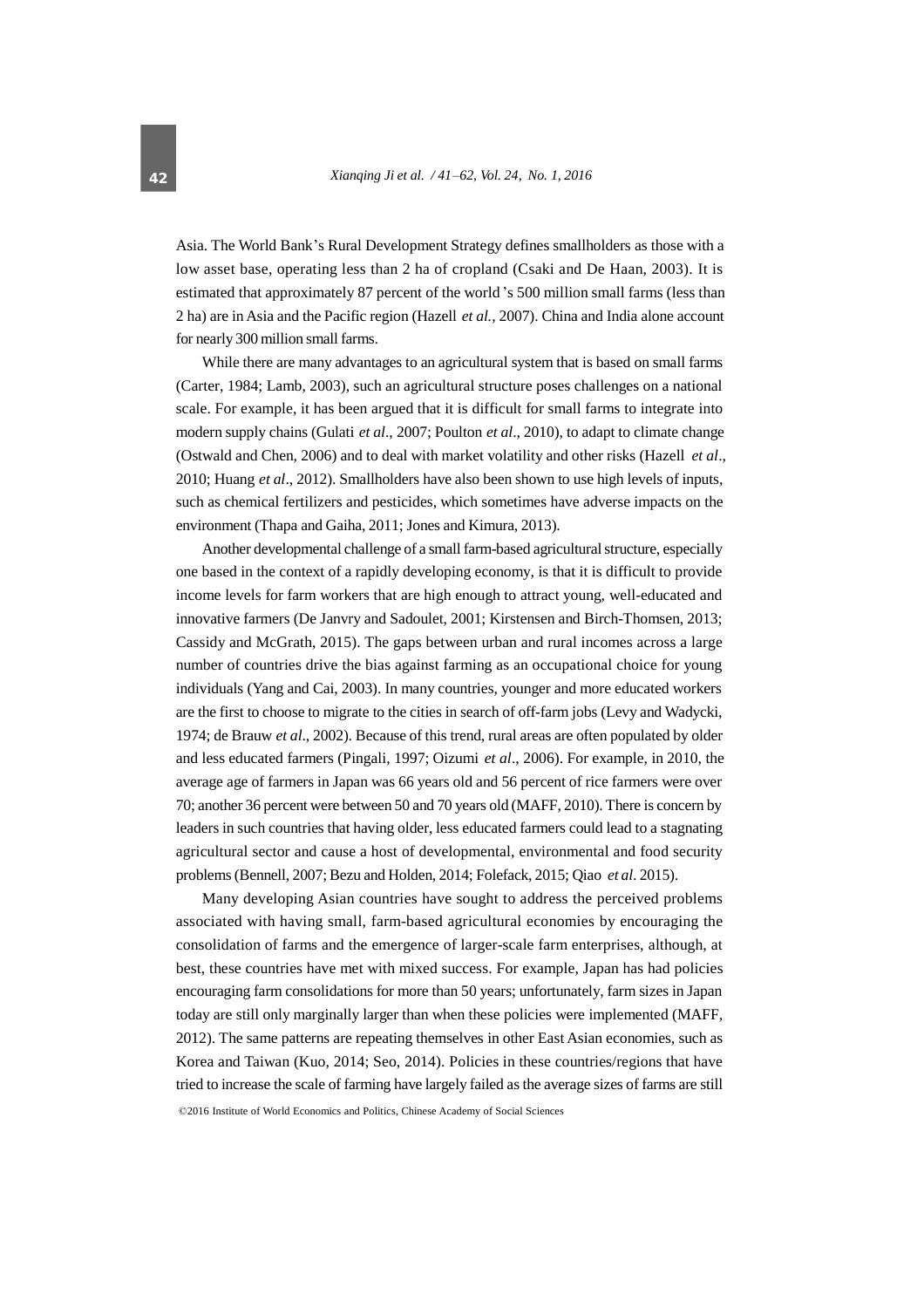Asia. The World Bank's Rural Development Strategy defines smallholders as those with a low asset base, operating less than 2 ha of cropland (Csaki and De Haan, 2003). It is estimated that approximately 87 percent of the world 's 500 million small farms (less than 2 ha) are inAsia and the Pacific region (Hazell *et al.*, 2007). China and India alone account for nearly 300 million small farms.

While there are many advantages to an agricultural system that is based on small farms (Carter, 1984; Lamb, 2003), such an agricultural structure poses challenges on a national scale. For example, it has been argued that it is difficult for small farms to integrate into modern supply chains (Gulati *et al*., 2007; Poulton *et al*., 2010), to adapt to climate change (Ostwald and Chen, 2006) and to deal with market volatility and other risks (Hazell *et al*., 2010; Huang *et al*., 2012). Smallholders have also been shown to use high levels of inputs, such as chemical fertilizers and pesticides, which sometimes have adverse impacts on the environment (Thapa and Gaiha, 2011; Jones and Kimura, 2013).

Another developmental challenge of a small farm-based agricultural structure, especially one based in the context of a rapidly developing economy, is that it is difficult to provide income levels for farm workers that are high enough to attract young, well-educated and innovative farmers (De Janvry and Sadoulet, 2001; Kirstensen and Birch-Thomsen, 2013; Cassidy and McGrath, 2015). The gaps between urban and rural incomes across a large number of countries drive the bias against farming as an occupational choice for young individuals (Yang and Cai, 2003). In many countries, younger and more educated workers are the first to choose to migrate to the cities in search of off-farm jobs (Levy and Wadycki, 1974; de Brauw *et al*., 2002). Because of this trend, rural areas are often populated by older and less educated farmers (Pingali, 1997; Oizumi *et al*., 2006). For example, in 2010, the average age of farmers in Japan was 66 years old and 56 percent of rice farmers were over 70; another 36 percent were between 50 and 70 years old (MAFF, 2010). There is concern by leaders in such countries that having older, less educated farmers could lead to a stagnating agricultural sector and cause a host of developmental, environmental and food security problems (Bennell, 2007; Bezu and Holden, 2014; Folefack, 2015; Qiao et al. 2015).

©2016 Institute of World Economics and Politics, Chinese Academy of Social Sciences Many developing Asian countries have sought to address the perceived problems associated with having small, farm-based agricultural economies by encouraging the consolidation of farms and the emergence of larger-scale farm enterprises, although, at best, these countries have met with mixed success. For example, Japan has had policies encouraging farm consolidations for more than 50 years; unfortunately, farm sizes in Japan today are still only marginally larger than when these policies were implemented (MAFF, 2012). The same patterns are repeating themselves in other East Asian economies, such as Korea and Taiwan (Kuo, 2014; Seo, 2014). Policies in these countries/regions that have tried to increase the scale of farming have largely failed as the average sizes of farms are still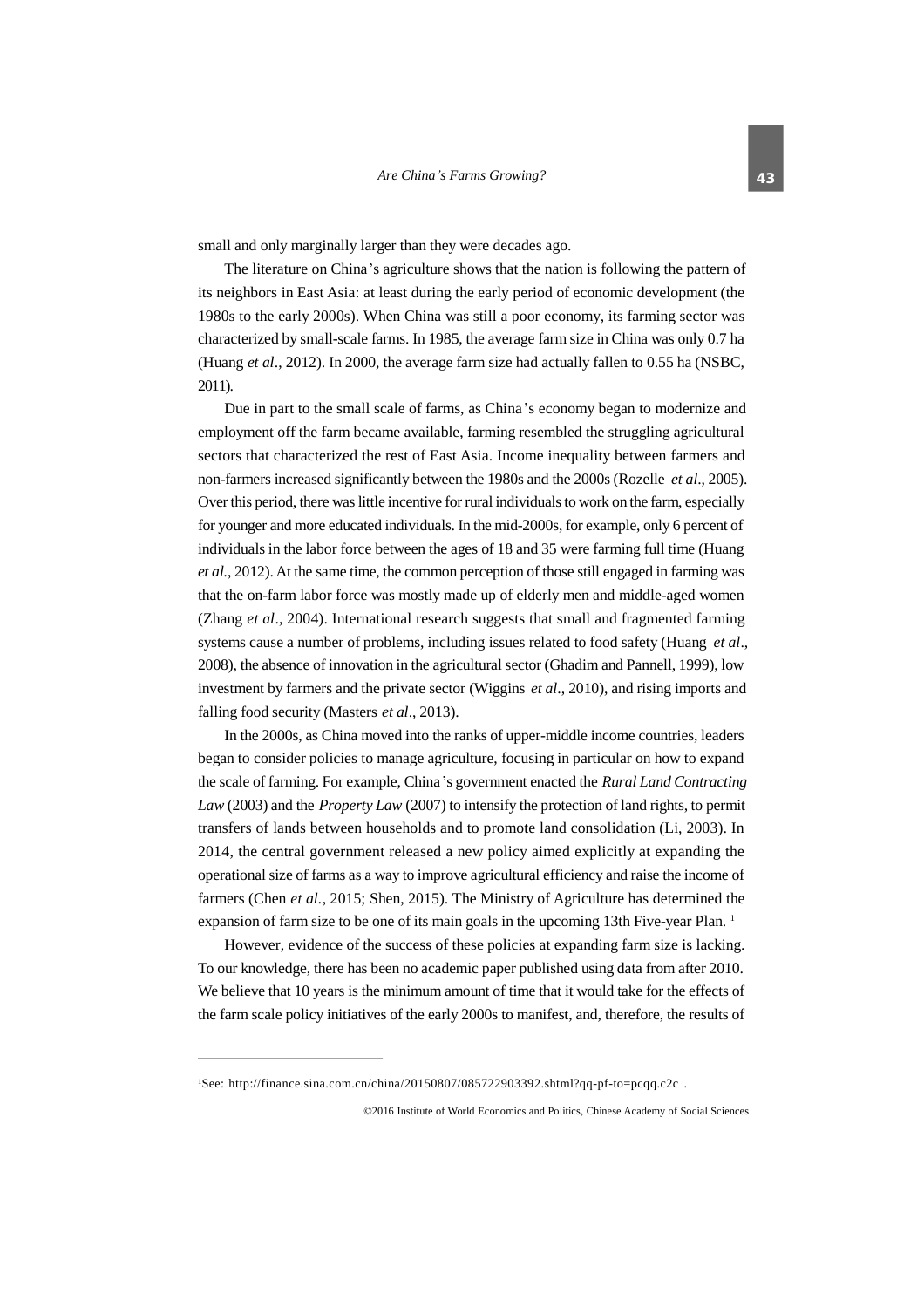small and only marginally larger than they were decades ago.

The literature on China's agriculture shows that the nation is following the pattern of its neighbors in East Asia: at least during the early period of economic development (the 1980s to the early 2000s). When China was still a poor economy, its farming sector was characterized by small-scale farms. In 1985, the average farm size in China was only 0.7 ha (Huang *et al*., 2012). In 2000, the average farm size had actually fallen to 0.55 ha (NSBC, 2011).

Due in part to the small scale of farms, as China's economy began to modernize and employment off the farm became available, farming resembled the struggling agricultural sectors that characterized the rest of East Asia. Income inequality between farmers and non-farmers increased significantly between the 1980s and the 2000s(Rozelle *et al*., 2005). Over this period, there was little incentive for rural individuals to work on the farm, especially for younger and more educated individuals. In the mid-2000s, for example, only 6 percent of individuals in the labor force between the ages of 18 and 35 were farming full time (Huang *et al.*, 2012).At the same time, the common perception of those still engaged in farming was that the on-farm labor force was mostly made up of elderly men and middle-aged women (Zhang *et al*., 2004). International research suggests that small and fragmented farming systems cause a number of problems, including issues related to food safety (Huang *et al*., 2008), the absence of innovation in the agricultural sector (Ghadim and Pannell, 1999), low investment by farmers and the private sector (Wiggins *et al*., 2010), and rising imports and falling food security (Masters *et al*., 2013).

In the 2000s, as China moved into the ranks of upper-middle income countries, leaders began to consider policies to manage agriculture, focusing in particular on how to expand the scale of farming. For example, China's government enacted the *Rural Land Contracting Law* (2003) and the *Property Law* (2007) to intensify the protection of land rights, to permit transfers of lands between households and to promote land consolidation (Li, 2003). In 2014, the central government released a new policy aimed explicitly at expanding the operational size of farms as a way to improve agricultural efficiency and raise the income of farmers (Chen *et al.*, 2015; Shen, 2015). The Ministry of Agriculture has determined the expansion of farm size to be one of its main goals in the upcoming 13th Five-year Plan.<sup>1</sup>

However, evidence of the success of these policies at expanding farm size is lacking. To our knowledge, there has been no academic paper published using data from after 2010. We believe that 10 years is the minimum amount of time that it would take for the effects of the farm scale policy initiatives of the early 2000s to manifest, and, therefore, the results of

<sup>1</sup>See: <http://finance.sina.com.cn/china/20150807/085722903392.shtml?qq-pf-to=pcqq.c2c> .

<sup>©</sup>2016 Institute of World Economics and Politics, Chinese Academy of Social Sciences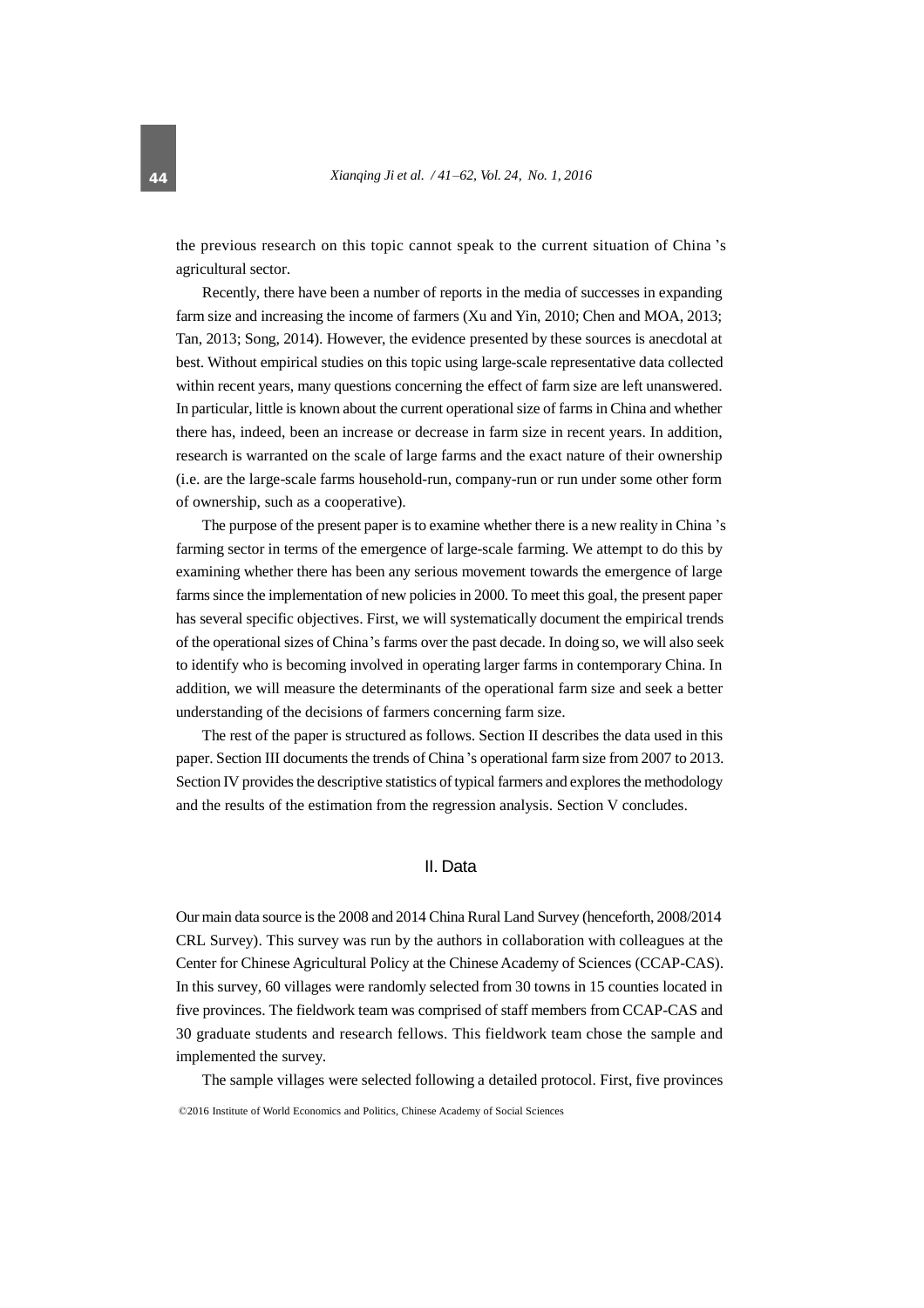the previous research on this topic cannot speak to the current situation of China 's agricultural sector.

Recently, there have been a number of reports in the media of successes in expanding farm size and increasing the income of farmers (Xu and Yin, 2010; Chen and MOA, 2013; Tan, 2013; Song, 2014). However, the evidence presented by these sources is anecdotal at best. Without empirical studies on this topic using large-scale representative data collected within recent years, many questions concerning the effect of farm size are left unanswered. In particular, little is known about the current operationalsize of farms in China and whether there has, indeed, been an increase or decrease in farm size in recent years. In addition, research is warranted on the scale of large farms and the exact nature of their ownership (i.e. are the large-scale farms household-run, company-run or run under some other form of ownership, such as a cooperative).

The purpose of the present paper is to examine whether there is a new reality in China 's farming sector in terms of the emergence of large-scale farming. We attempt to do this by examining whether there has been any serious movement towards the emergence of large farmssince the implementation of new policies in 2000. To meet this goal, the present paper has several specific objectives. First, we will systematically document the empirical trends of the operational sizes of China's farms over the past decade. In doing so, we will also seek to identify who is becoming involved in operating larger farms in contemporary China. In addition, we will measure the determinants of the operational farm size and seek a better understanding of the decisions of farmers concerning farm size.

The rest of the paper is structured as follows. Section II describes the data used in this paper. Section III documents the trends of China 's operational farm size from 2007 to 2013. Section IV provides the descriptive statistics of typical farmers and explores the methodology and the results of the estimation from the regression analysis. Section V concludes.

## II. Data

Our main data source isthe 2008 and 2014 China Rural Land Survey (henceforth, 2008/2014 CRL Survey). This survey was run by the authors in collaboration with colleagues at the Center for Chinese Agricultural Policy at the Chinese Academy of Sciences (CCAP-CAS). In this survey, 60 villages were randomly selected from 30 towns in 15 counties located in five provinces. The fieldwork team was comprised of staff members from CCAP-CAS and 30 graduate students and research fellows. This fieldwork team chose the sample and implemented the survey.

The sample villages were selected following a detailed protocol. First, five provinces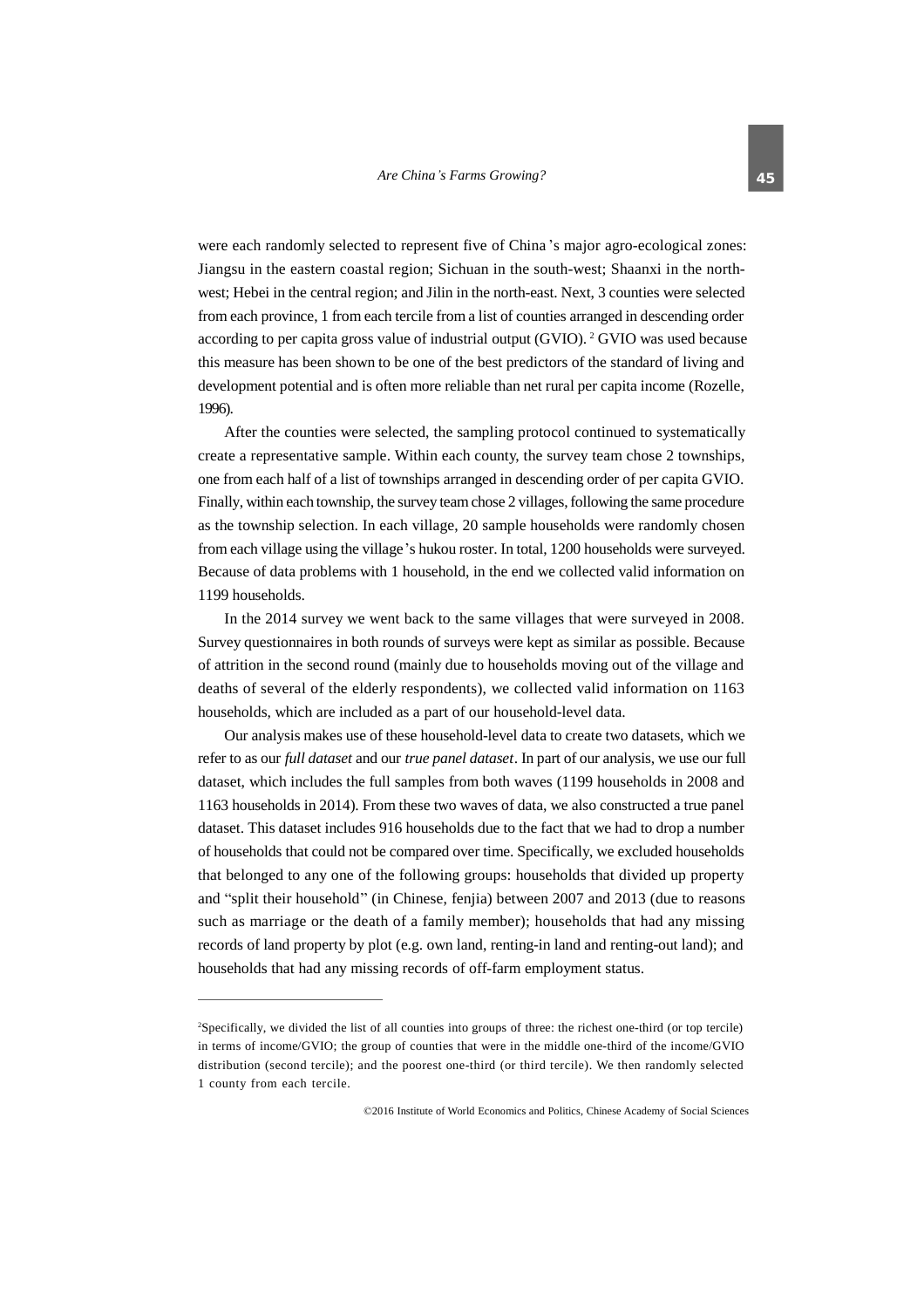were each randomly selected to represent five of China 's major agro-ecological zones: Jiangsu in the eastern coastal region; Sichuan in the south-west; Shaanxi in the northwest; Hebei in the central region; and Jilin in the north-east. Next, 3 counties were selected from each province, 1 from each tercile from a list of counties arranged in descending order according to per capita gross value of industrial output (GVIO). <sup>2</sup> GVIO was used because this measure has been shown to be one of the best predictors of the standard of living and development potential and is often more reliable than net rural per capita income (Rozelle, 1996).

After the counties were selected, the sampling protocol continued to systematically create a representative sample. Within each county, the survey team chose 2 townships, one from each half of a list of townships arranged in descending order of per capita GVIO. Finally, within each township, the survey team chose 2 villages, following the same procedure as the township selection. In each village, 20 sample households were randomly chosen from each village using the village's hukou roster. In total, 1200 households were surveyed. Because of data problems with 1 household, in the end we collected valid information on 1199 households.

In the 2014 survey we went back to the same villages that were surveyed in 2008. Survey questionnaires in both rounds of surveys were kept as similar as possible. Because of attrition in the second round (mainly due to households moving out of the village and deaths of several of the elderly respondents), we collected valid information on 1163 households, which are included as a part of our household-level data.

Our analysis makes use of these household-level data to create two datasets, which we refer to as our *full dataset* and our *true panel dataset*. In part of our analysis, we use our full dataset, which includes the full samples from both waves (1199 households in 2008 and 1163 households in 2014). From these two waves of data, we also constructed a true panel dataset. This dataset includes 916 households due to the fact that we had to drop a number of households that could not be compared over time. Specifically, we excluded households that belonged to any one of the following groups: households that divided up property and "split their household" (in Chinese, fenjia) between 2007 and 2013 (due to reasons such as marriage or the death of a family member); households that had any missing records of land property by plot (e.g. own land, renting-in land and renting-out land); and households that had any missing records of off-farm employment status.

<sup>2</sup>Specifically, we divided the list of all counties into groups of three: the richest one-third (or top tercile) in terms of income/GVIO; the group of counties that were in the middle one-third of the income/GVIO distribution (second tercile); and the poorest one-third (or third tercile). We then randomly selected 1 county from each tercile.

<sup>©</sup>2016 Institute of World Economics and Politics, Chinese Academy of Social Sciences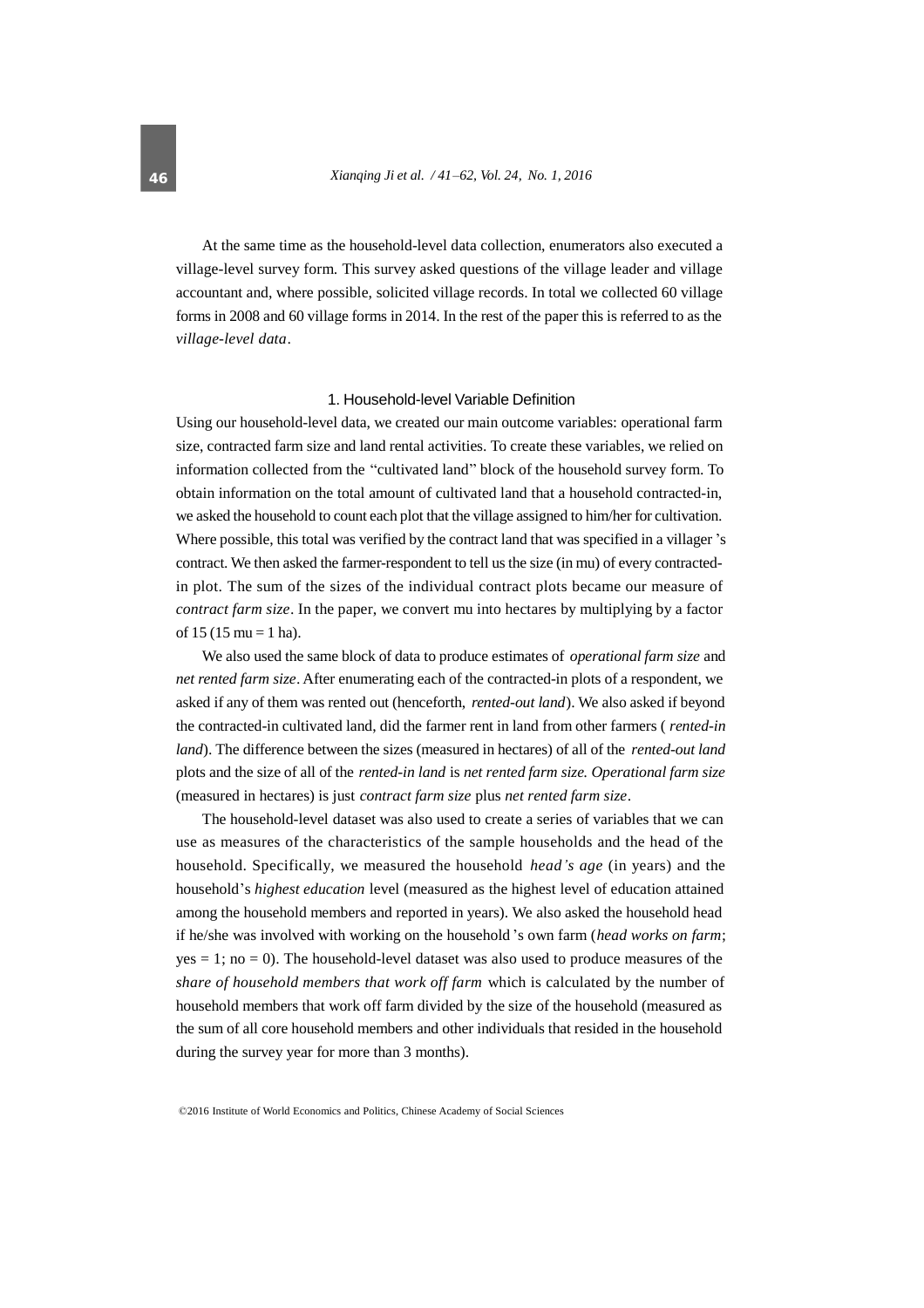At the same time as the household-level data collection, enumerators also executed a village-level survey form. This survey asked questions of the village leader and village accountant and, where possible, solicited village records. In total we collected 60 village forms in 2008 and 60 village forms in 2014. In the rest of the paper this is referred to as the *village-level data*.

## 1. Household-level Variable Definition

Using our household-level data, we created our main outcome variables: operational farm size, contracted farm size and land rental activities. To create these variables, we relied on information collected from the "cultivated land" block of the household survey form. To obtain information on the total amount of cultivated land that a household contracted-in, we asked the household to count each plot that the village assigned to him/her for cultivation. Where possible, this total was verified by the contract land that was specified in a villager 's contract. We then asked the farmer-respondent to tell usthe size (in mu) of every contractedin plot. The sum of the sizes of the individual contract plots became our measure of *contract farm size*. In the paper, we convert mu into hectares by multiplying by a factor of  $15$  ( $15 \text{ mu} = 1 \text{ ha}$ ).

We also used the same block of data to produce estimates of *operational farm size* and *net rented farm size*. After enumerating each of the contracted-in plots of a respondent, we asked if any of them was rented out (henceforth, *rented-out land*). We also asked if beyond the contracted-in cultivated land, did the farmer rent in land from other farmers ( *rented-in land*). The difference between the sizes (measured in hectares) of all of the *rented-out land* plots and the size of all of the *rented-in land* is *net rented farm size. Operational farm size* (measured in hectares) is just *contract farm size* plus *net rented farm size*.

The household-level dataset was also used to create a series of variables that we can use as measures of the characteristics of the sample households and the head of the household. Specifically, we measured the household *head's age* (in years) and the household's *highest education* level (measured as the highest level of education attained among the household members and reported in years). We also asked the household head if he/she was involved with working on the household 's own farm (*head works on farm*;  $yes = 1$ ; no  $= 0$ ). The household-level dataset was also used to produce measures of the *share of household members that work off farm* which is calculated by the number of household members that work off farm divided by the size of the household (measured as the sum of all core household members and other individuals that resided in the household during the survey year for more than 3 months).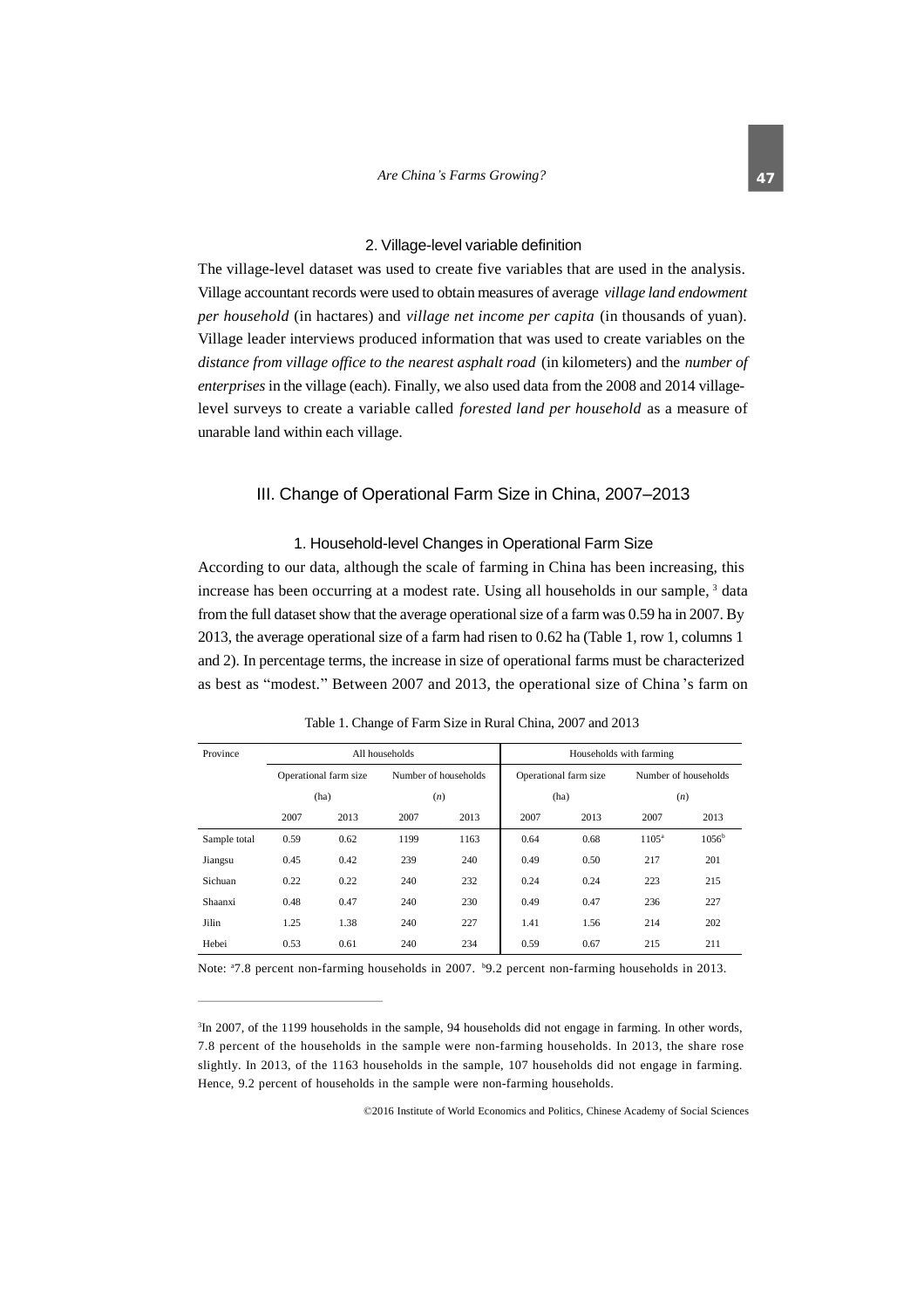## 2. Village-level variable definition

The village-level dataset was used to create five variables that are used in the analysis. Village accountant records were used to obtain measures of average *village land endowment per household* (in hactares) and *village net income per capita* (in thousands of yuan). Village leader interviews produced information that was used to create variables on the *distance from village office to the nearest asphalt road* (in kilometers) and the *number of enterprises* in the village (each). Finally, we also used data from the 2008 and 2014 villagelevel surveys to create a variable called *forested land per household* as a measure of unarable land within each village.

## III. Change of Operational Farm Size in China, 2007–2013

## 1. Household-level Changes in Operational Farm Size

According to our data, although the scale of farming in China has been increasing, this increase has been occurring at a modest rate. Using all households in our sample, <sup>3</sup> data from the full dataset show that the average operational size of a farm was 0.59 ha in 2007. By 2013, the average operational size of a farm had risen to 0.62 ha (Table 1, row 1, columns 1 and 2). In percentage terms, the increase in size of operational farms must be characterized as best as "modest." Between 2007 and 2013, the operational size of China 's farm on

| Province     |      |                       | All households       |      | Households with farming |                       |                      |                |  |
|--------------|------|-----------------------|----------------------|------|-------------------------|-----------------------|----------------------|----------------|--|
|              |      | Operational farm size | Number of households |      |                         | Operational farm size | Number of households |                |  |
|              | (ha) |                       | (n)                  |      | (ha)                    |                       | (n)                  |                |  |
|              | 2007 | 2013                  | 2007                 | 2013 | 2007                    | 2013                  | 2007                 | 2013           |  |
| Sample total | 0.59 | 0.62                  | 1199                 | 1163 | 0.64                    | 0.68                  | $1105^{\circ}$       | $1056^{\rm b}$ |  |
| Jiangsu      | 0.45 | 0.42                  | 239                  | 240  | 0.49                    | 0.50                  | 217                  | 201            |  |
| Sichuan      | 0.22 | 0.22                  | 240                  | 232  | 0.24                    | 0.24                  | 223                  | 215            |  |
| Shaanxi      | 0.48 | 0.47                  | 240                  | 230  | 0.49                    | 0.47                  | 236                  | 227            |  |
| Jilin        | 1.25 | 1.38                  | 240                  | 227  | 1.41                    | 1.56                  | 214                  | 202            |  |
| Hebei        | 0.53 | 0.61                  | 240                  | 234  | 0.59                    | 0.67                  | 215                  | 211            |  |

Table 1. Change of Farm Size in Rural China, 2007 and 2013

Note: <sup>a</sup>7.8 percent non-farming households in 2007. b9.2 percent non-farming households in 2013.

<sup>&</sup>lt;sup>3</sup>In 2007, of the 1199 households in the sample, 94 households did not engage in farming. In other words, 7.8 percent of the households in the sample were non-farming households. In 2013, the share rose slightly. In 2013, of the 1163 households in the sample, 107 households did not engage in farming. Hence, 9.2 percent of households in the sample were non-farming households.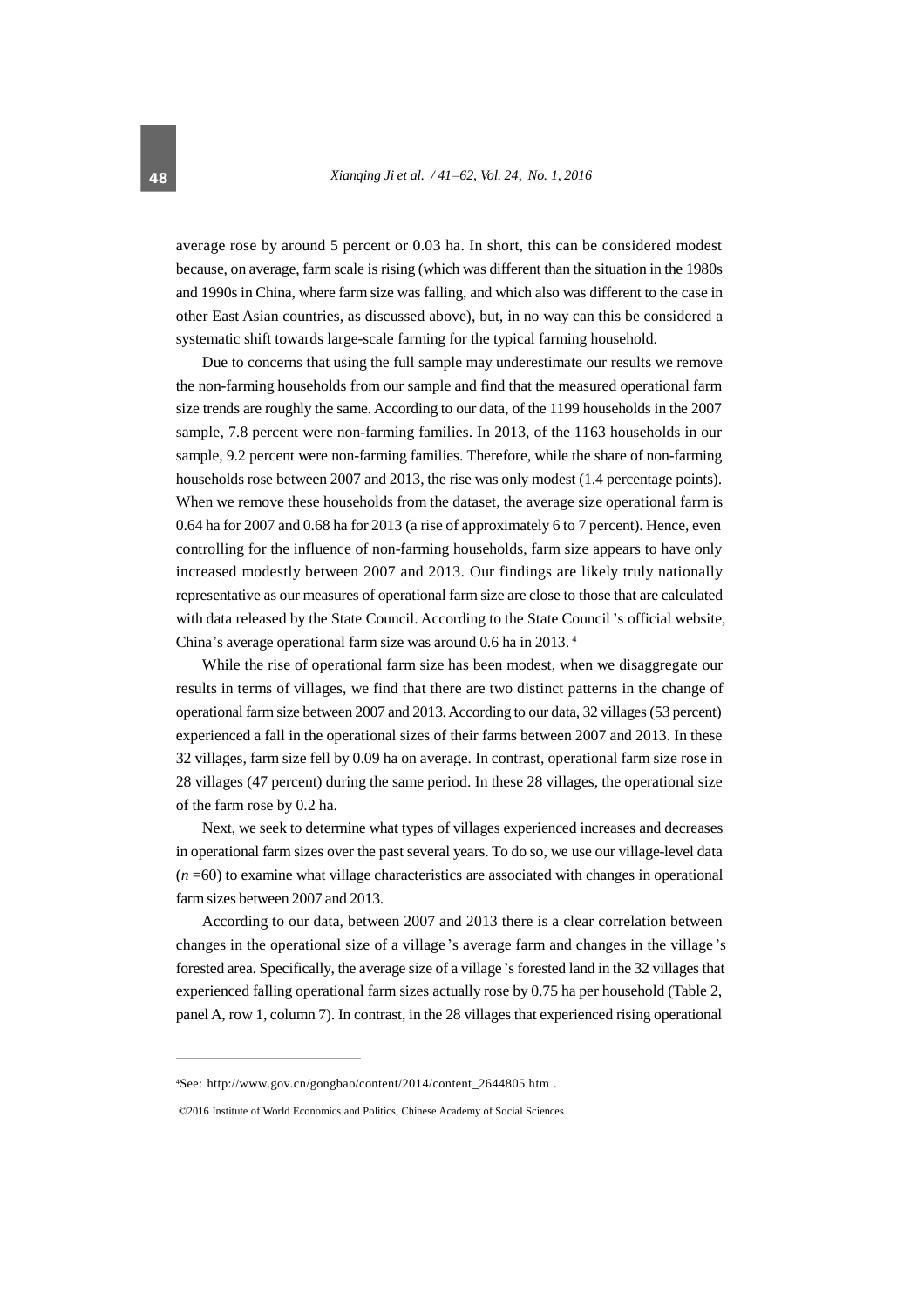average rose by around 5 percent or 0.03 ha. In short, this can be considered modest because, on average, farm scale is rising (which was different than the situation in the 1980s and 1990s in China, where farm size was falling, and which also was different to the case in other East Asian countries, as discussed above), but, in no way can this be considered a systematic shift towards large-scale farming for the typical farming household.

Due to concerns that using the full sample may underestimate our results we remove the non-farming households from our sample and find that the measured operational farm size trends are roughly the same. According to our data, of the 1199 households in the 2007 sample, 7.8 percent were non-farming families. In 2013, of the 1163 households in our sample, 9.2 percent were non-farming families. Therefore, while the share of non-farming households rose between 2007 and 2013, the rise was only modest (1.4 percentage points). When we remove these households from the dataset, the average size operational farm is 0.64 ha for 2007 and 0.68 ha for 2013 (a rise of approximately 6 to 7 percent). Hence, even controlling for the influence of non-farming households, farm size appears to have only increased modestly between 2007 and 2013. Our findings are likely truly nationally representative as our measures of operational farm size are close to those that are calculated with data released by the State Council. According to the State Council's official website, China's average operational farm size was around 0.6 ha in 2013. <sup>4</sup>

While the rise of operational farm size has been modest, when we disaggregate our results in terms of villages, we find that there are two distinct patterns in the change of operational farm size between 2007 and 2013.According to our data, 32 villages(53 percent) experienced a fall in the operational sizes of their farms between 2007 and 2013. In these 32 villages, farm size fell by 0.09 ha on average. In contrast, operational farm size rose in 28 villages (47 percent) during the same period. In these 28 villages, the operational size of the farm rose by 0.2 ha.

Next, we seek to determine what types of villages experienced increases and decreases in operational farm sizes over the past several years. To do so, we use our village-level data  $(n = 60)$  to examine what village characteristics are associated with changes in operational farm sizes between 2007 and 2013.

According to our data, between 2007 and 2013 there is a clear correlation between changes in the operational size of a village 's average farm and changes in the village 's forested area. Specifically, the average size of a village 'sforested land in the 32 villages that experienced falling operational farm sizes actually rose by 0.75 ha per household (Table 2, panel A, row 1, column 7). In contrast, in the 28 villages that experienced rising operational

<sup>4</sup>See: [http://www.gov.cn/gongbao/content/2014/content\\_2644805.htm](http://www.gov.cn/gongbao/content/2014/content_2644805.htm) .

<sup>©</sup>2016 Institute of World Economics and Politics, Chinese Academy of Social Sciences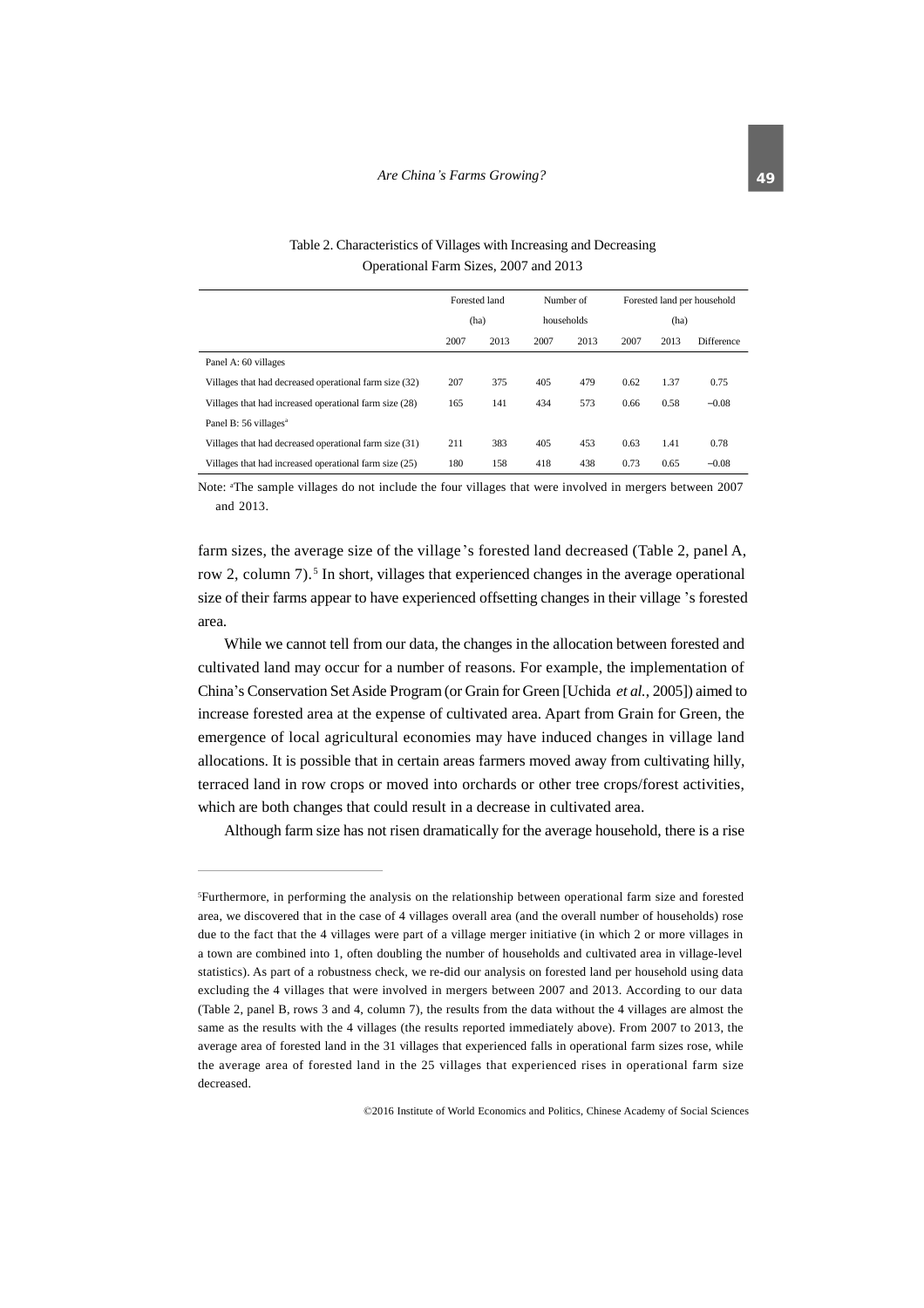|                                                        | Forested land<br>(ha) |      | Number of  |      | Forested land per household |      |                   |
|--------------------------------------------------------|-----------------------|------|------------|------|-----------------------------|------|-------------------|
|                                                        |                       |      | households |      | (ha)                        |      |                   |
|                                                        | 2007                  | 2013 | 2007       | 2013 | 2007                        | 2013 | <b>Difference</b> |
| Panel A: 60 villages                                   |                       |      |            |      |                             |      |                   |
| Villages that had decreased operational farm size (32) | 207                   | 375  | 405        | 479  | 0.62                        | 1.37 | 0.75              |
| Villages that had increased operational farm size (28) | 165                   | 141  | 434        | 573  | 0.66                        | 0.58 | $-0.08$           |
| Panel B: 56 villages <sup>a</sup>                      |                       |      |            |      |                             |      |                   |
| Villages that had decreased operational farm size (31) | 211                   | 383  | 405        | 453  | 0.63                        | 1.41 | 0.78              |
| Villages that had increased operational farm size (25) | 180                   | 158  | 418        | 438  | 0.73                        | 0.65 | $-0.08$           |

## Table 2. Characteristics of Villages with Increasing and Decreasing Operational Farm Sizes, 2007 and 2013

Note: "The sample villages do not include the four villages that were involved in mergers between 2007 and 2013.

farm sizes, the average size of the village's forested land decreased (Table 2, panel A, row 2, column 7).<sup>5</sup> In short, villages that experienced changes in the average operational size of their farms appear to have experienced offsetting changes in their village 's forested area.

While we cannot tell from our data, the changes in the allocation between forested and cultivated land may occur for a number of reasons. For example, the implementation of China's Conservation SetAside Program(or Grain for Green [Uchida *et al.*, 2005]) aimed to increase forested area at the expense of cultivated area. Apart from Grain for Green, the emergence of local agricultural economies may have induced changes in village land allocations. It is possible that in certain areas farmers moved away from cultivating hilly, terraced land in row crops or moved into orchards or other tree crops/forest activities, which are both changes that could result in a decrease in cultivated area.

Although farm size has not risen dramatically for the average household, there is a rise

<sup>5</sup>Furthermore, in performing the analysis on the relationship between operational farm size and forested area, we discovered that in the case of 4 villages overall area (and the overall number of households) rose due to the fact that the 4 villages were part of a village merger initiative (in which 2 or more villages in a town are combined into 1, often doubling the number of households and cultivated area in village-level statistics). As part of a robustness check, we re-did our analysis on forested land per household using data excluding the 4 villages that were involved in mergers between 2007 and 2013. According to our data (Table 2, panel B, rows 3 and 4, column 7), the results from the data without the 4 villages are almost the same as the results with the 4 villages (the results reported immediately above). From 2007 to 2013, the average area of forested land in the 31 villages that experienced falls in operational farm sizes rose, while the average area of forested land in the 25 villages that experienced rises in operational farm size decreased.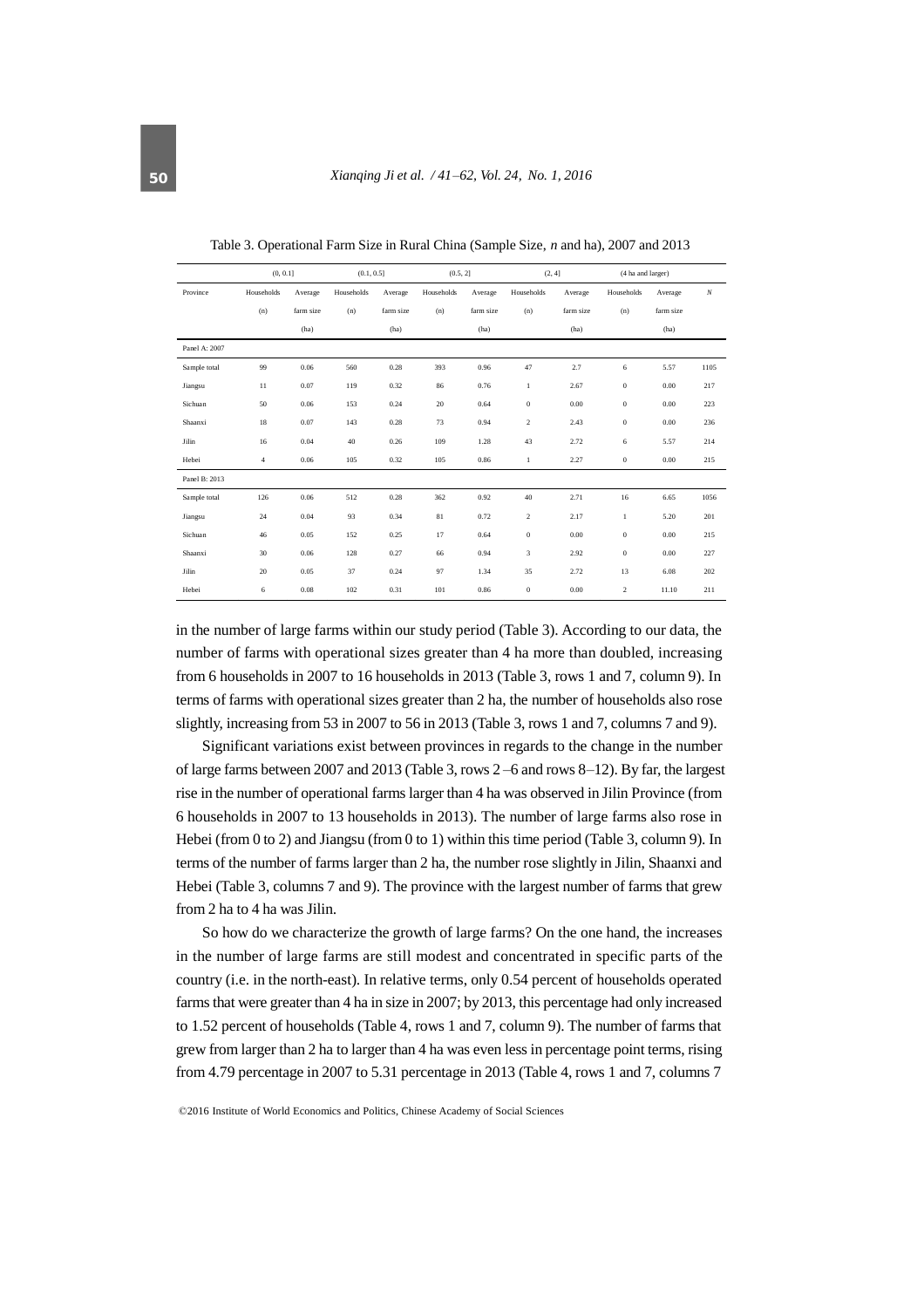|               | (0, 0.1]       |           | (0.1, 0.5] |           | (0.5, 2]   |           | (2, 4]         |           | (4 ha and larger) |           |                  |
|---------------|----------------|-----------|------------|-----------|------------|-----------|----------------|-----------|-------------------|-----------|------------------|
| Province      | Households     | Average   | Households | Average   | Households | Average   | Households     | Average   | Households        | Average   | $\boldsymbol{N}$ |
|               | (n)            | farm size | (n)        | farm size | (n)        | farm size | (n)            | farm size | (n)               | farm size |                  |
|               |                | (ha)      |            | (ha)      |            | (ha)      |                | (ha)      |                   | (ha)      |                  |
| Panel A: 2007 |                |           |            |           |            |           |                |           |                   |           |                  |
| Sample total  | 99             | 0.06      | 560        | 0.28      | 393        | 0.96      | 47             | 2.7       | 6                 | 5.57      | 1105             |
| Jiangsu       | 11             | 0.07      | 119        | 0.32      | 86         | 0.76      | $\mathbf{1}$   | 2.67      | $\boldsymbol{0}$  | 0.00      | 217              |
| Sichuan       | 50             | 0.06      | 153        | 0.24      | 20         | 0.64      | $\bf{0}$       | 0.00      | $\boldsymbol{0}$  | 0.00      | 223              |
| Shaanxi       | 18             | 0.07      | 143        | 0.28      | 73         | 0.94      | $\,2\,$        | 2.43      | $\boldsymbol{0}$  | 0.00      | 236              |
| Jilin         | 16             | 0.04      | 40         | 0.26      | 109        | 1.28      | 43             | 2.72      | 6                 | 5.57      | 214              |
| Hebei         | $\overline{4}$ | 0.06      | 105        | 0.32      | 105        | 0.86      | $\,1$          | 2.27      | $\boldsymbol{0}$  | 0.00      | 215              |
| Panel B: 2013 |                |           |            |           |            |           |                |           |                   |           |                  |
| Sample total  | 126            | 0.06      | 512        | 0.28      | 362        | 0.92      | 40             | 2.71      | 16                | 6.65      | 1056             |
| Jiangsu       | 24             | 0.04      | 93         | 0.34      | 81         | 0.72      | $\overline{c}$ | 2.17      | $\,1$             | 5.20      | 201              |
| Sichuan       | 46             | 0.05      | 152        | 0.25      | 17         | 0.64      | $\bf{0}$       | 0.00      | $\boldsymbol{0}$  | 0.00      | 215              |
| Shaanxi       | 30             | 0.06      | 128        | 0.27      | 66         | 0.94      | 3              | 2.92      | $\mathbf{0}$      | 0.00      | 227              |
| Jilin         | 20             | 0.05      | 37         | 0.24      | 97         | 1.34      | 35             | 2.72      | 13                | 6.08      | 202              |
| Hebei         | 6              | 0.08      | 102        | 0.31      | 101        | 0.86      | $\mathbf{0}$   | 0.00      | $\,2$             | 11.10     | 211              |

Table 3. Operational Farm Size in Rural China (Sample Size, *n* and ha), 2007 and 2013

in the number of large farms within our study period (Table 3). According to our data, the number of farms with operational sizes greater than 4 ha more than doubled, increasing from 6 households in 2007 to 16 households in 2013 (Table 3, rows 1 and 7, column 9). In terms of farms with operational sizes greater than 2 ha, the number of households also rose slightly, increasing from 53 in 2007 to 56 in 2013 (Table 3, rows 1 and 7, columns 7 and 9).

Significant variations exist between provinces in regards to the change in the number of large farms between 2007 and 2013 (Table 3, rows 2 –6 and rows 8–12). By far, the largest rise in the number of operational farms larger than 4 ha was observed in Jilin Province (from 6 households in 2007 to 13 households in 2013). The number of large farms also rose in Hebei (from 0 to 2) and Jiangsu (from 0 to 1) within this time period (Table 3, column 9). In terms of the number of farms larger than 2 ha, the number rose slightly in Jilin, Shaanxi and Hebei (Table 3, columns 7 and 9). The province with the largest number of farms that grew from 2 ha to 4 ha was Jilin.

So how do we characterize the growth of large farms? On the one hand, the increases in the number of large farms are still modest and concentrated in specific parts of the country (i.e. in the north-east). In relative terms, only 0.54 percent of households operated farmsthat were greater than 4 ha in size in 2007; by 2013, this percentage had only increased to 1.52 percent of households (Table 4, rows 1 and 7, column 9). The number of farms that grew from larger than 2 ha to larger than 4 ha was even less in percentage point terms, rising from 4.79 percentage in 2007 to 5.31 percentage in 2013 (Table 4, rows 1 and 7, columns 7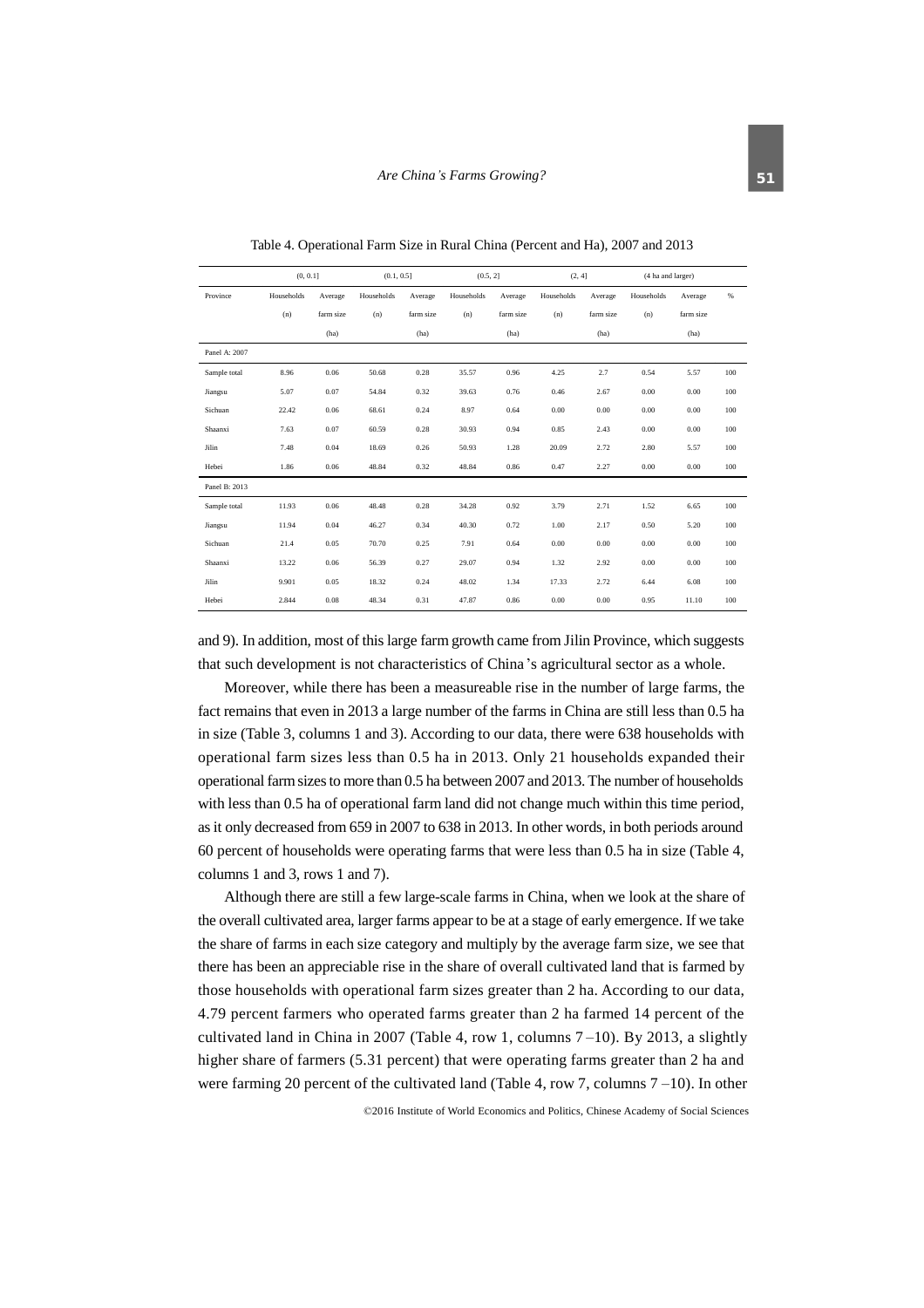|               | (0, 0.1]   |           | (0.1, 0.5] |           | (0.5, 2]   |           | (2, 4]     |           | (4 ha and larger) |           |     |
|---------------|------------|-----------|------------|-----------|------------|-----------|------------|-----------|-------------------|-----------|-----|
| Province      | Households | Average   | Households | Average   | Households | Average   | Households | Average   | Households        | Average   | %   |
|               | (n)        | farm size | (n)        | farm size | (n)        | farm size | (n)        | farm size | (n)               | farm size |     |
|               |            | (ha)      |            | (ha)      |            | (ha)      |            | (ha)      |                   | (ha)      |     |
| Panel A: 2007 |            |           |            |           |            |           |            |           |                   |           |     |
| Sample total  | 8.96       | 0.06      | 50.68      | 0.28      | 35.57      | 0.96      | 4.25       | 2.7       | 0.54              | 5.57      | 100 |
| Jiangsu       | 5.07       | 0.07      | 54.84      | 0.32      | 39.63      | 0.76      | 0.46       | 2.67      | 0.00              | 0.00      | 100 |
| Sichuan       | 22.42      | 0.06      | 68.61      | 0.24      | 8.97       | 0.64      | 0.00       | 0.00      | 0.00              | 0.00      | 100 |
| Shaanxi       | 7.63       | 0.07      | 60.59      | 0.28      | 30.93      | 0.94      | 0.85       | 2.43      | 0.00              | 0.00      | 100 |
| Jilin         | 7.48       | 0.04      | 18.69      | 0.26      | 50.93      | 1.28      | 20.09      | 2.72      | 2.80              | 5.57      | 100 |
| Hebei         | 1.86       | 0.06      | 48.84      | 0.32      | 48.84      | 0.86      | 0.47       | 2.27      | 0.00              | 0.00      | 100 |
| Panel B: 2013 |            |           |            |           |            |           |            |           |                   |           |     |
| Sample total  | 11.93      | 0.06      | 48.48      | 0.28      | 34.28      | 0.92      | 3.79       | 2.71      | 1.52              | 6.65      | 100 |
| Jiangsu       | 11.94      | 0.04      | 46.27      | 0.34      | 40.30      | 0.72      | 1.00       | 2.17      | 0.50              | 5.20      | 100 |
| Sichuan       | 21.4       | 0.05      | 70.70      | 0.25      | 7.91       | 0.64      | 0.00       | 0.00      | 0.00              | 0.00      | 100 |
| Shaanxi       | 13.22      | 0.06      | 56.39      | 0.27      | 29.07      | 0.94      | 1.32       | 2.92      | 0.00              | 0.00      | 100 |
| Jilin         | 9.901      | 0.05      | 18.32      | 0.24      | 48.02      | 1.34      | 17.33      | 2.72      | 6.44              | 6.08      | 100 |
| Hebei         | 2.844      | 0.08      | 48.34      | 0.31      | 47.87      | 0.86      | 0.00       | 0.00      | 0.95              | 11.10     | 100 |

Table 4. Operational Farm Size in Rural China (Percent and Ha), 2007 and 2013

and 9). In addition, most of this large farm growth came from Jilin Province, which suggests that such development is not characteristics of China 's agricultural sector as a whole.

Moreover, while there has been a measureable rise in the number of large farms, the fact remains that even in 2013 a large number of the farms in China are still less than 0.5 ha in size (Table 3, columns 1 and 3). According to our data, there were 638 households with operational farm sizes less than 0.5 ha in 2013. Only 21 households expanded their operational farm sizes to more than 0.5 ha between 2007 and 2013. The number of households with less than 0.5 ha of operational farm land did not change much within this time period, asit only decreased from 659 in 2007 to 638 in 2013. In other words, in both periods around 60 percent of households were operating farms that were less than 0.5 ha in size (Table 4, columns 1 and 3, rows 1 and 7).

Although there are still a few large-scale farms in China, when we look at the share of the overall cultivated area, larger farms appear to be at a stage of early emergence. If we take the share of farms in each size category and multiply by the average farm size, we see that there has been an appreciable rise in the share of overall cultivated land that is farmed by those households with operational farm sizes greater than 2 ha. According to our data, 4.79 percent farmers who operated farms greater than 2 ha farmed 14 percent of the cultivated land in China in 2007 (Table 4, row 1, columns  $7-10$ ). By 2013, a slightly higher share of farmers (5.31 percent) that were operating farms greater than 2 ha and were farming 20 percent of the cultivated land (Table 4, row 7, columns  $7 - 10$ ). In other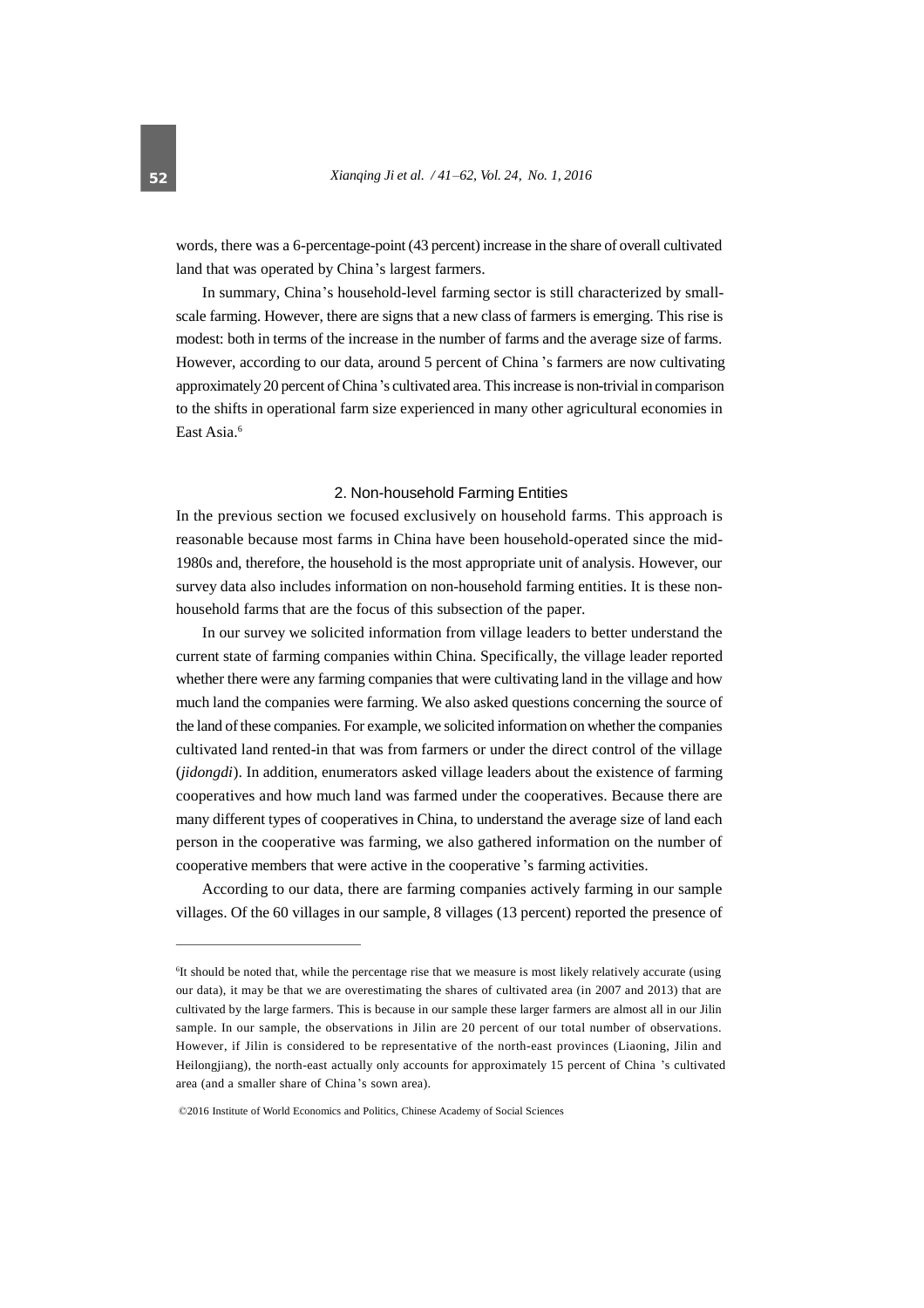words, there was a 6-percentage-point (43 percent) increase in the share of overall cultivated land that was operated by China's largest farmers.

In summary, China's household-level farming sector is still characterized by smallscale farming. However, there are signs that a new class of farmers is emerging. This rise is modest: both in terms of the increase in the number of farms and the average size of farms. However, according to our data, around 5 percent of China 's farmers are now cultivating approximately 20 percent ofChina's cultivated area. Thisincrease is non-trivial in comparison to the shifts in operational farm size experienced in many other agricultural economies in East Asia.<sup>6</sup>

## 2. Non-household Farming Entities

In the previous section we focused exclusively on household farms. This approach is reasonable because most farms in China have been household-operated since the mid-1980s and, therefore, the household is the most appropriate unit of analysis. However, our survey data also includes information on non-household farming entities. It is these nonhousehold farms that are the focus of this subsection of the paper.

In our survey we solicited information from village leaders to better understand the current state of farming companies within China. Specifically, the village leader reported whether there were any farming companies that were cultivating land in the village and how much land the companies were farming. We also asked questions concerning the source of the land of these companies. For example, we solicited information on whether the companies cultivated land rented-in that was from farmers or under the direct control of the village (*jidongdi*). In addition, enumerators asked village leaders about the existence of farming cooperatives and how much land was farmed under the cooperatives. Because there are many different types of cooperatives in China, to understand the average size of land each person in the cooperative was farming, we also gathered information on the number of cooperative members that were active in the cooperative 's farming activities.

According to our data, there are farming companies actively farming in our sample villages. Of the 60 villages in our sample, 8 villages (13 percent) reported the presence of

<sup>6</sup> It should be noted that, while the percentage rise that we measure is most likely relatively accurate (using our data), it may be that we are overestimating the shares of cultivated area (in 2007 and 2013) that are cultivated by the large farmers. This is because in our sample these larger farmers are almost all in our Jilin sample. In our sample, the observations in Jilin are 20 percent of our total number of observations. However, if Jilin is considered to be representative of the north-east provinces (Liaoning, Jilin and Heilongjiang), the north-east actually only accounts for approximately 15 percent of China 's cultivated area (and a smaller share of China 's sown area).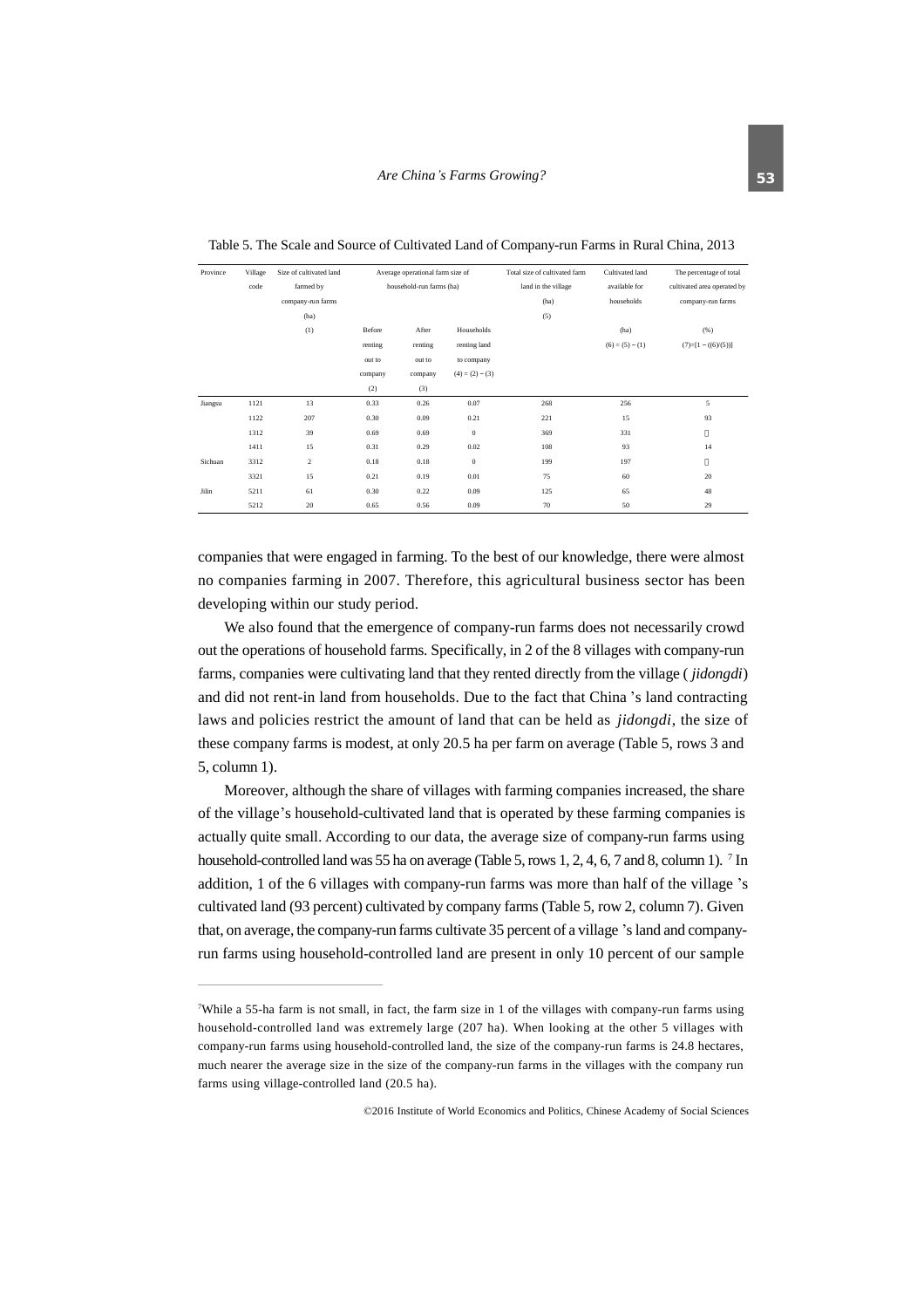| Province | Village | Size of cultivated land | Average operational farm size of |                          | Total size of cultivated farm | Cultivated land     | The percentage of total |                             |
|----------|---------|-------------------------|----------------------------------|--------------------------|-------------------------------|---------------------|-------------------------|-----------------------------|
|          | code    | farmed by               |                                  | household-run farms (ha) |                               | land in the village | available for           | cultivated area operated by |
|          |         | company-run farms       |                                  |                          |                               | (ha)                | households              | company-run farms           |
|          |         | (ha)                    |                                  |                          |                               | (5)                 |                         |                             |
|          |         | (1)                     | Before                           | After                    | Households                    |                     | (ha)                    | (96)                        |
|          |         |                         | renting                          | renting                  | renting land                  |                     | $(6) = (5) - (1)$       | $(7)=[1-((6)/(5))]$         |
|          |         |                         | out to                           | out to                   | to company                    |                     |                         |                             |
|          |         |                         | company                          | company                  | $(4) = (2) - (3)$             |                     |                         |                             |
|          |         |                         | (2)                              | (3)                      |                               |                     |                         |                             |
| Jiangsu  | 1121    | 13                      | 0.33                             | 0.26                     | 0.07                          | 268                 | 256                     | 5                           |
|          | 1122    | 207                     | 0.30                             | 0.09                     | 0.21                          | 221                 | 15                      | 93                          |
|          | 1312    | 39                      | 0.69                             | 0.69                     | $\boldsymbol{0}$              | 369                 | 331                     | -                           |
|          | 1411    | 15                      | 0.31                             | 0.29                     | 0.02                          | 108                 | 93                      | 14                          |
| Sichuan  | 3312    | $\,2$                   | 0.18                             | 0.18                     | $\,$ 0 $\,$                   | 199                 | 197                     | -                           |
|          | 3321    | 15                      | 0.21                             | 0.19                     | 0.01                          | 75                  | 60                      | 20                          |
| Jilin    | 5211    | 61                      | 0.30                             | 0.22                     | 0.09                          | 125                 | 65                      | 48                          |
|          | 5212    | 20                      | 0.65                             | 0.56                     | 0.09                          | 70                  | 50                      | 29                          |

Table 5. The Scale and Source of Cultivated Land of Company-run Farms in Rural China, 2013

companies that were engaged in farming. To the best of our knowledge, there were almost no companies farming in 2007. Therefore, this agricultural business sector has been developing within our study period.

We also found that the emergence of company-run farms does not necessarily crowd out the operations of household farms. Specifically, in 2 of the 8 villages with company-run farms, companies were cultivating land that they rented directly from the village ( *jidongdi*) and did not rent-in land from households. Due to the fact that China 's land contracting laws and policies restrict the amount of land that can be held as *jidongdi*, the size of these company farms is modest, at only 20.5 ha per farm on average (Table 5, rows 3 and 5, column 1).

Moreover, although the share of villages with farming companies increased, the share of the village's household-cultivated land that is operated by these farming companies is actually quite small. According to our data, the average size of company-run farms using household-controlled land was 55 ha on average (Table 5, rows 1, 2, 4, 6, 7 and 8, column 1). <sup>7</sup> In addition, 1 of the 6 villages with company-run farms was more than half of the village 's cultivated land (93 percent) cultivated by company farms (Table 5, row 2, column 7). Given that, on average, the company-run farms cultivate 35 percent of a village 'sland and companyrun farms using household-controlled land are present in only 10 percent of our sample

<sup>7</sup>While a 55-ha farm is not small, in fact, the farm size in 1 of the villages with company-run farms using household-controlled land was extremely large (207 ha). When looking at the other 5 villages with company-run farms using household-controlled land, the size of the company-run farms is 24.8 hectares, much nearer the average size in the size of the company-run farms in the villages with the company run farms using village-controlled land (20.5 ha).

<sup>©</sup>2016 Institute of World Economics and Politics, Chinese Academy of Social Sciences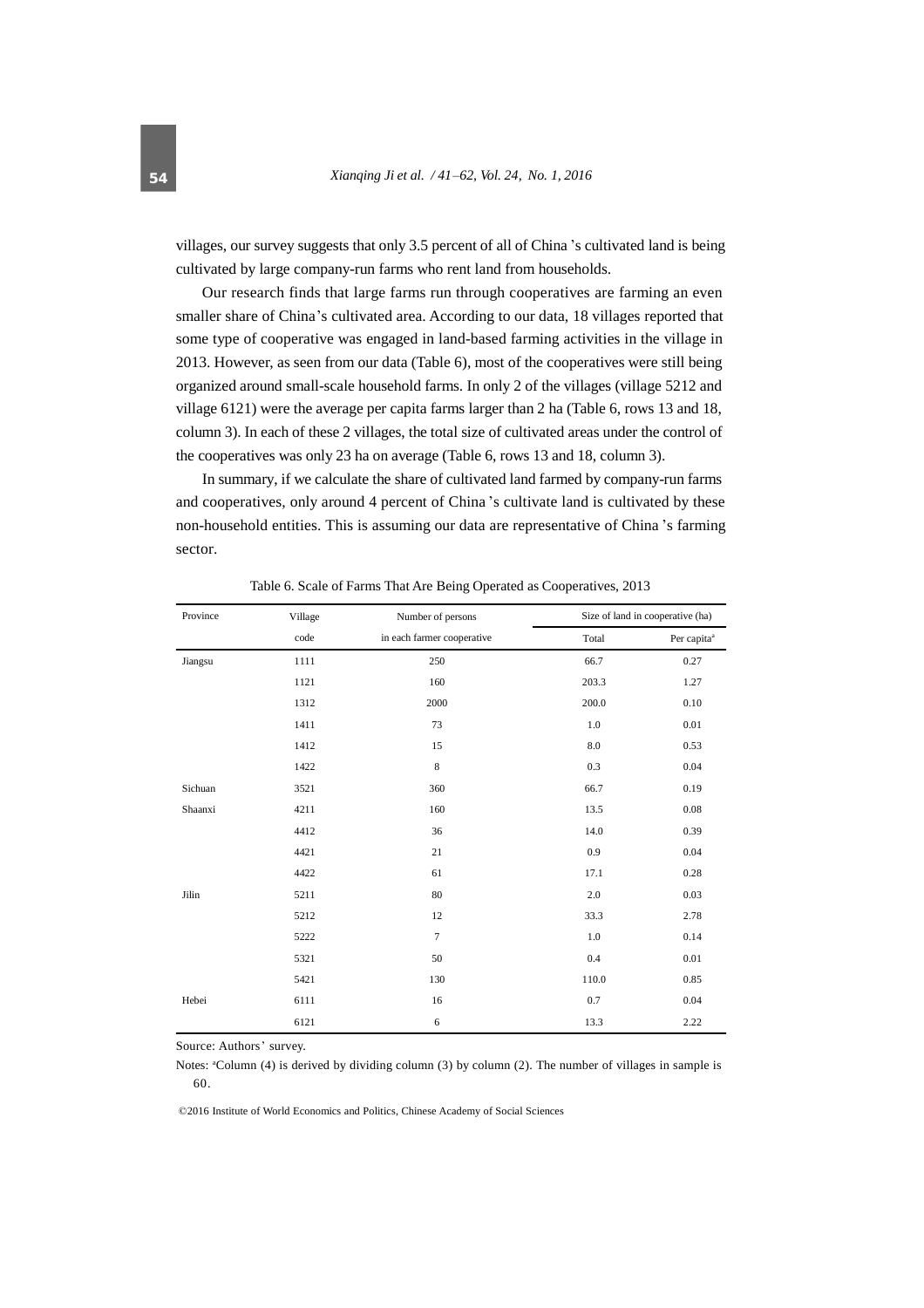villages, our survey suggests that only 3.5 percent of all of China 's cultivated land is being cultivated by large company-run farms who rent land from households.

Our research finds that large farms run through cooperatives are farming an even smaller share of China's cultivated area. According to our data, 18 villages reported that some type of cooperative was engaged in land-based farming activities in the village in 2013. However, as seen from our data (Table 6), most of the cooperatives were still being organized around small-scale household farms. In only 2 of the villages (village 5212 and village 6121) were the average per capita farms larger than 2 ha (Table 6, rows 13 and 18, column 3). In each of these 2 villages, the total size of cultivated areas under the control of the cooperatives was only 23 ha on average (Table 6, rows 13 and 18, column 3).

In summary, if we calculate the share of cultivated land farmed by company-run farms and cooperatives, only around 4 percent of China 's cultivate land is cultivated by these non-household entities. This is assuming our data are representative of China 's farming sector.

| Province | Village | Number of persons          | Size of land in cooperative (ha) |                         |  |
|----------|---------|----------------------------|----------------------------------|-------------------------|--|
|          | code    | in each farmer cooperative | Total                            | Per capita <sup>a</sup> |  |
| Jiangsu  | 1111    | 250                        | 66.7                             | 0.27                    |  |
|          | 1121    | 160                        | 203.3                            | 1.27                    |  |
|          | 1312    | 2000                       | 200.0                            | 0.10                    |  |
|          | 1411    | 73                         | 1.0                              | 0.01                    |  |
|          | 1412    | 15                         | $8.0\,$                          | 0.53                    |  |
|          | 1422    | $\,8\,$                    | 0.3                              | 0.04                    |  |
| Sichuan  | 3521    | 360                        | 66.7                             | 0.19                    |  |
| Shaanxi  | 4211    | 160                        | 13.5                             | 0.08                    |  |
|          | 4412    | 36                         | 14.0                             | 0.39                    |  |
|          | 4421    | 21                         | 0.9                              | 0.04                    |  |
|          | 4422    | 61                         | 17.1                             | 0.28                    |  |
| Jilin    | 5211    | 80                         | 2.0                              | 0.03                    |  |
|          | 5212    | 12                         | 33.3                             | 2.78                    |  |
|          | 5222    | $\overline{7}$             | 1.0                              | 0.14                    |  |
|          | 5321    | 50                         | $0.4\,$                          | 0.01                    |  |
|          | 5421    | 130                        | 110.0                            | 0.85                    |  |
| Hebei    | 6111    | 16                         | 0.7                              | 0.04                    |  |
|          | 6121    | 6                          | 13.3                             | 2.22                    |  |

Table 6. Scale of Farms That Are Being Operated as Cooperatives, 2013

Source: Authors' survey.

Notes: <sup>a</sup>Column (4) is derived by dividing column (3) by column (2). The number of villages in sample is 60.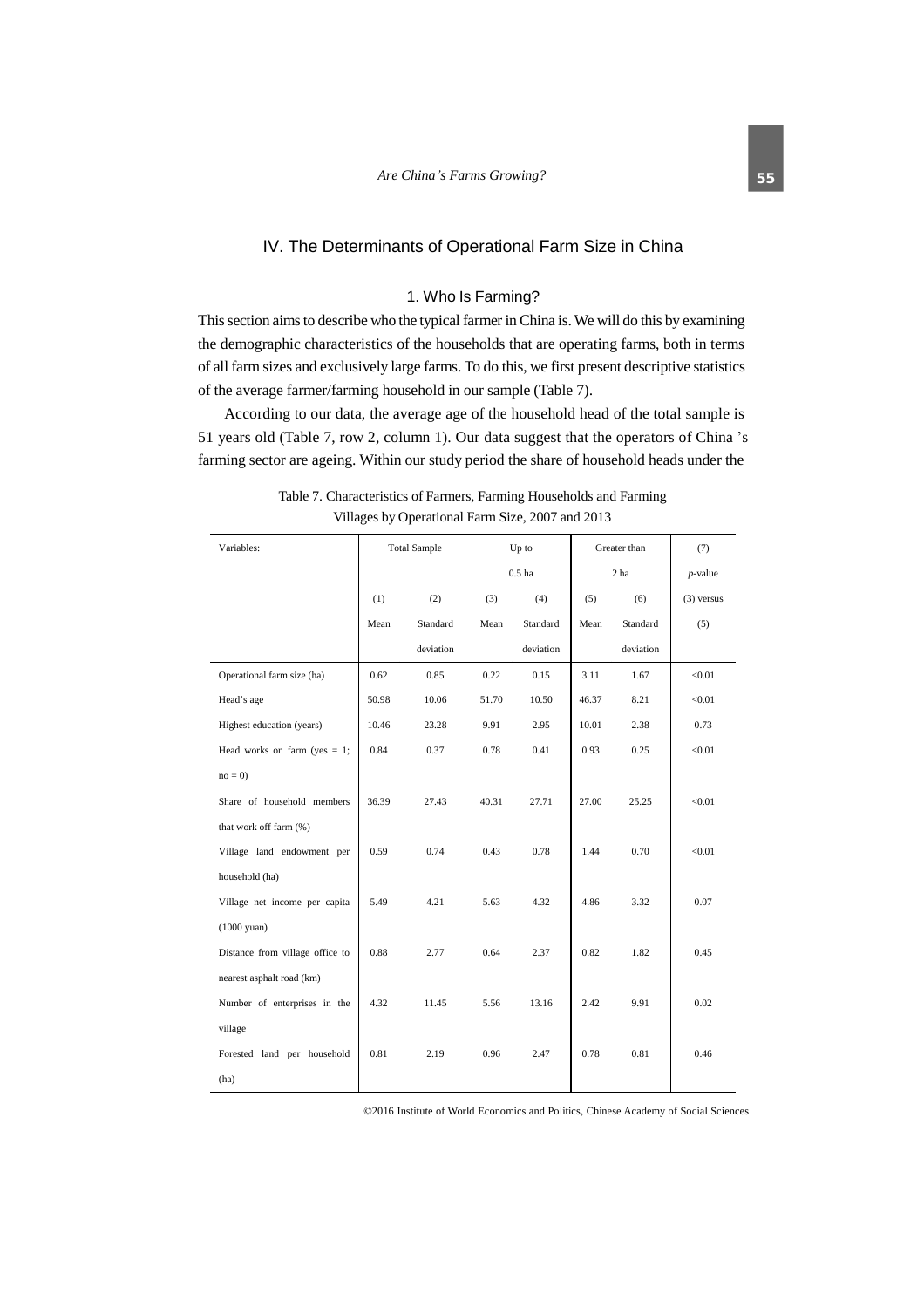# IV. The Determinants of Operational Farm Size in China

# 1. Who Is Farming?

Thissection aimsto describe who the typical farmer inChina is.We will do this by examining the demographic characteristics of the households that are operating farms, both in terms of all farm sizes and exclusively large farms. To do this, we first present descriptive statistics of the average farmer/farming household in our sample (Table 7).

According to our data, the average age of the household head of the total sample is 51 years old (Table 7, row 2, column 1). Our data suggest that the operators of China 's farming sector are ageing. Within our study period the share of household heads under the

Table 7. Characteristics of Farmers, Farming Households and Farming Villages by Operational Farm Size, 2007 and 2013

| Variables:                      | <b>Total Sample</b> |           | Up to |                   | Greater than    |           | (7)          |
|---------------------------------|---------------------|-----------|-------|-------------------|-----------------|-----------|--------------|
|                                 |                     |           |       | 0.5 <sub>ha</sub> | 2 <sub>ha</sub> |           | $p$ -value   |
|                                 | (1)                 | (2)       | (3)   | (4)               | (5)             | (6)       | $(3)$ versus |
|                                 | Mean                | Standard  | Mean  | Standard          | Mean            | Standard  | (5)          |
|                                 |                     | deviation |       | deviation         |                 | deviation |              |
| Operational farm size (ha)      | 0.62                | 0.85      | 0.22  | 0.15              | 3.11            | 1.67      | < 0.01       |
| Head's age                      | 50.98               | 10.06     | 51.70 | 10.50             | 46.37           | 8.21      | < 0.01       |
| Highest education (years)       | 10.46               | 23.28     | 9.91  | 2.95              | 10.01           | 2.38      | 0.73         |
| Head works on farm (yes $= 1$ ; | 0.84                | 0.37      | 0.78  | 0.41              | 0.93            | 0.25      | < 0.01       |
| $no = 0$                        |                     |           |       |                   |                 |           |              |
| Share of household members      | 36.39               | 27.43     | 40.31 | 27.71             | 27.00           | 25.25     | < 0.01       |
| that work off farm (%)          |                     |           |       |                   |                 |           |              |
| Village land endowment per      | 0.59                | 0.74      | 0.43  | 0.78              | 1.44            | 0.70      | < 0.01       |
| household (ha)                  |                     |           |       |                   |                 |           |              |
| Village net income per capita   | 5.49                | 4.21      | 5.63  | 4.32              | 4.86            | 3.32      | 0.07         |
| (1000 yuan)                     |                     |           |       |                   |                 |           |              |
| Distance from village office to | 0.88                | 2.77      | 0.64  | 2.37              | 0.82            | 1.82      | 0.45         |
| nearest asphalt road (km)       |                     |           |       |                   |                 |           |              |
| Number of enterprises in the    | 4.32                | 11.45     | 5.56  | 13.16             | 2.42            | 9.91      | 0.02         |
| village                         |                     |           |       |                   |                 |           |              |
| Forested land per household     | 0.81                | 2.19      | 0.96  | 2.47              | 0.78            | 0.81      | 0.46         |
| (ha)                            |                     |           |       |                   |                 |           |              |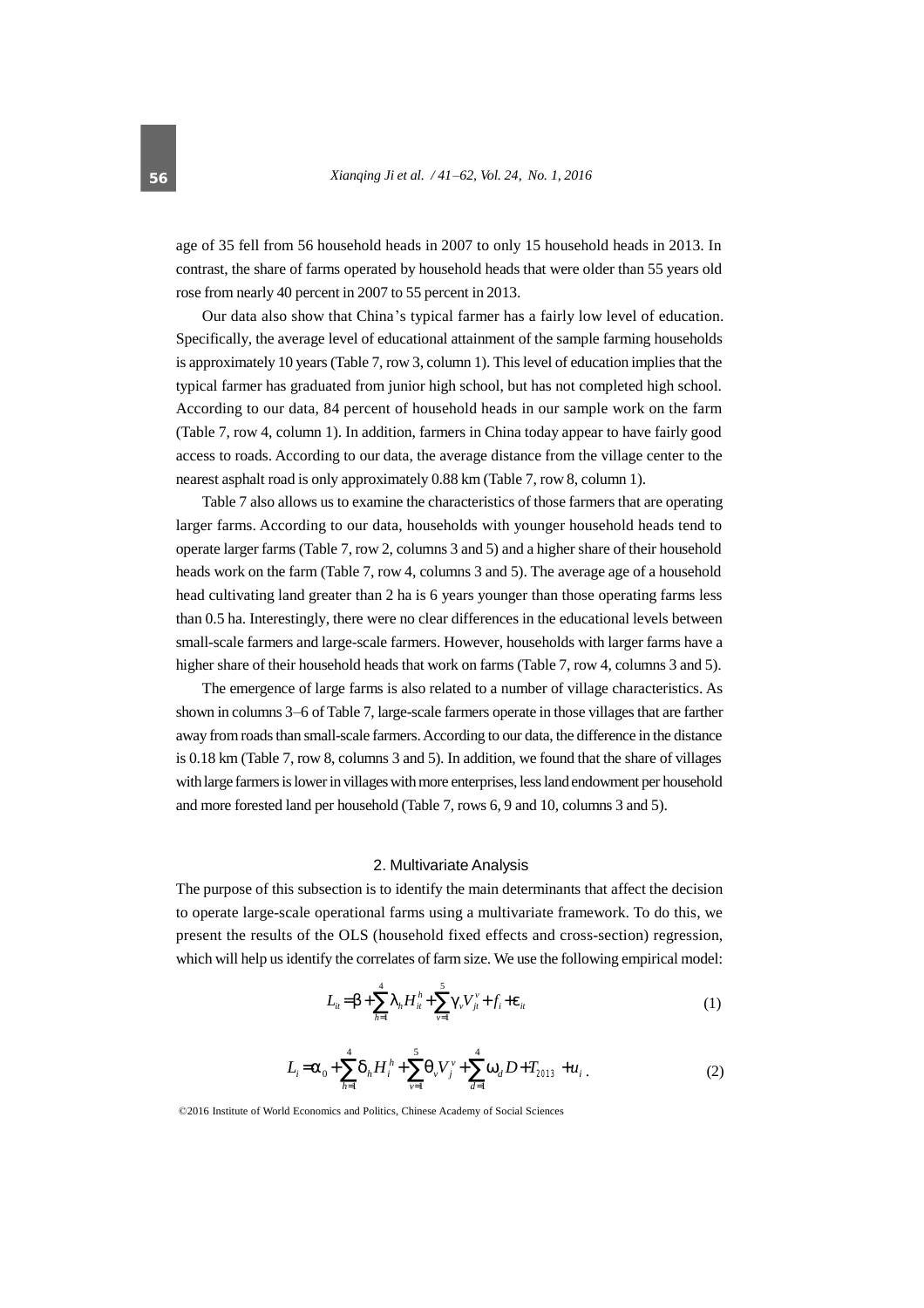age of 35 fell from 56 household heads in 2007 to only 15 household heads in 2013. In contrast, the share of farms operated by household heads that were older than 55 years old rose from nearly 40 percent in 2007 to 55 percent in 2013.

Our data also show that China's typical farmer has a fairly low level of education. Specifically, the average level of educational attainment of the sample farming households is approximately 10 years (Table 7, row 3, column 1). This level of education implies that the typical farmer has graduated from junior high school, but has not completed high school. According to our data, 84 percent of household heads in our sample work on the farm (Table 7, row 4, column 1). In addition, farmers in China today appear to have fairly good access to roads. According to our data, the average distance from the village center to the nearest asphalt road is only approximately 0.88 km (Table 7, row 8, column 1).

Table 7 also allows us to examine the characteristics of those farmers that are operating larger farms. According to our data, households with younger household heads tend to operate larger farms (Table 7, row 2, columns 3 and 5) and a higher share of their household heads work on the farm (Table 7, row 4, columns 3 and 5). The average age of a household head cultivating land greater than 2 ha is 6 years younger than those operating farms less than 0.5 ha. Interestingly, there were no clear differences in the educational levels between small-scale farmers and large-scale farmers. However, households with larger farms have a higher share of their household heads that work on farms (Table 7, row 4, columns 3 and 5).

The emergence of large farms is also related to a number of village characteristics. As shown in columns 3–6 of Table 7, large-scale farmers operate in those villages that are farther away from roads than small-scale farmers. According to our data, the difference in the distance is 0.18 km (Table 7, row 8, columns 3 and 5). In addition, we found that the share of villages with large farmers is lower in villages with more enterprises, less land endowment per household and more forested land per household (Table 7, rows 6, 9 and 10, columns 3 and 5).

#### 2. Multivariate Analysis

The purpose of this subsection is to identify the main determinants that affect the decision to operate large-scale operational farms using a multivariate framework. To do this, we present the results of the OLS (household fixed effects and cross-section) regression, which will help us identify the correlates of farm size. We use the following empirical model:

$$
L_{ii} = b + \sum_{h=1}^{4} I_h H_{it}^h + \sum_{v=1}^{5} g_v V_{jt}^v + f_i + e_{it}
$$
\n(1)

$$
L_i = a_0 + \sum_{h=1}^{4} d_h H_i^h + \sum_{v=1}^{5} q_v V_j^v + \sum_{d=1}^{4} w_d D + T_{2013} + u_i
$$
 (2)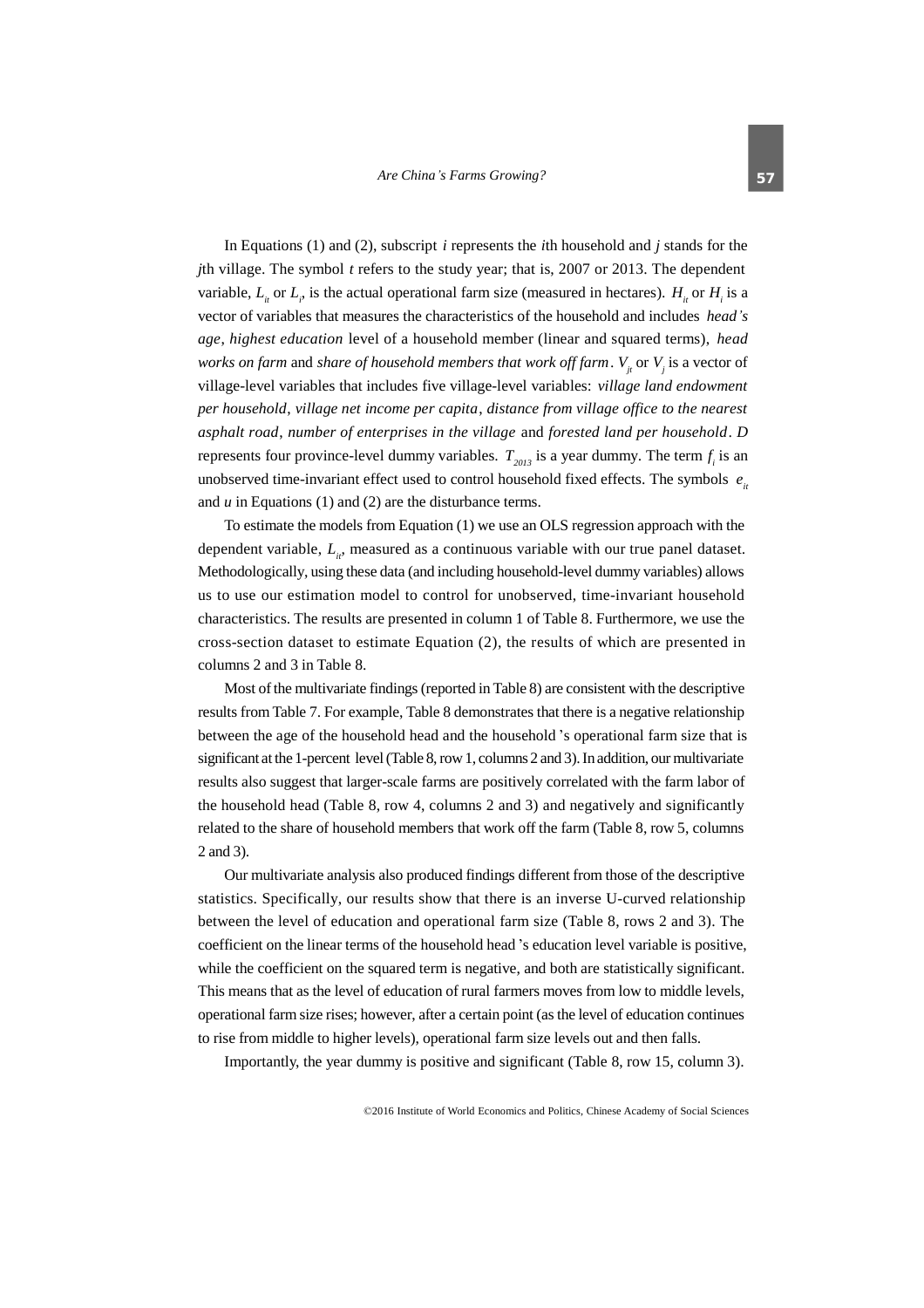In Equations (1) and (2), subscript *i* represents the *i*th household and *j* stands for the *j*th village. The symbol *t* refers to the study year; that is, 2007 or 2013. The dependent variable,  $L_i$  or  $L_i$  is the actual operational farm size (measured in hectares).  $H_i$  or  $H_i$  is a vector of variables that measures the characteristics of the household and includes *head's age*, *highest education* level of a household member (linear and squared terms), *head works on farm and share of household members that work off farm.*  $V_{\mu}$  *or*  $V_{j}$  *is a vector of* village-level variables that includes five village-level variables: *village land endowment per household*, *village net income per capita*, *distance from village office to the nearest asphalt road*, *number of enterprises in the village* and *forested land per household*. *D* represents four province-level dummy variables.  $T_{2013}$  is a year dummy. The term  $f_i$  is an unobserved time-invariant effect used to control household fixed effects. The symbols  $e_{it}$ and *u* in Equations (1) and (2) are the disturbance terms.

To estimate the models from Equation (1) we use an OLS regression approach with the dependent variable,  $L_i$ , measured as a continuous variable with our true panel dataset. Methodologically, using these data (and including household-level dummy variables) allows us to use our estimation model to control for unobserved, time-invariant household characteristics. The results are presented in column 1 of Table 8. Furthermore, we use the cross-section dataset to estimate Equation (2), the results of which are presented in columns 2 and 3 in Table 8.

Most of the multivariate findings (reported in Table 8) are consistent with the descriptive results from Table 7. For example, Table 8 demonstrates that there is a negative relationship between the age of the household head and the household 's operational farm size that is significant at the 1-percent level (Table 8, row 1, columns 2 and 3). In addition, our multivariate results also suggest that larger-scale farms are positively correlated with the farm labor of the household head (Table 8, row 4, columns 2 and 3) and negatively and significantly related to the share of household members that work off the farm (Table 8, row 5, columns 2 and 3).

Our multivariate analysis also produced findings different from those of the descriptive statistics. Specifically, our results show that there is an inverse U-curved relationship between the level of education and operational farm size (Table 8, rows 2 and 3). The coefficient on the linear terms of the household head 's education level variable is positive, while the coefficient on the squared term is negative, and both are statistically significant. This means that as the level of education of rural farmers moves from low to middle levels, operational farm size rises; however, after a certain point (asthe level of education continues to rise from middle to higher levels), operational farm size levels out and then falls.

Importantly, the year dummy is positive and significant (Table 8, row 15, column 3).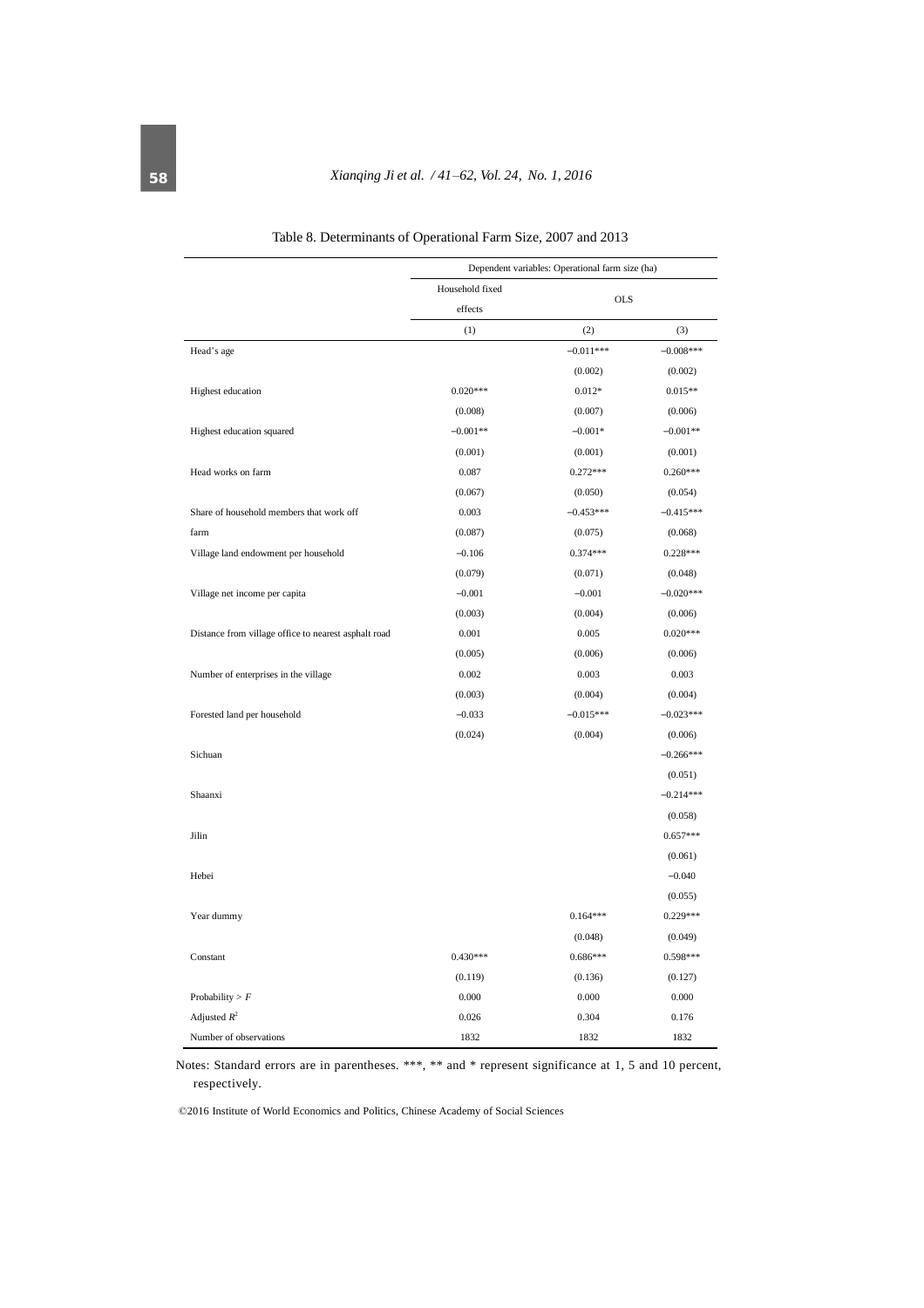|                                                      | Dependent variables: Operational farm size (ha) |             |             |  |  |
|------------------------------------------------------|-------------------------------------------------|-------------|-------------|--|--|
|                                                      | Household fixed                                 |             |             |  |  |
|                                                      | effects                                         | <b>OLS</b>  |             |  |  |
|                                                      | (1)                                             | (2)         | (3)         |  |  |
| Head's age                                           |                                                 | $-0.011***$ | $-0.008***$ |  |  |
|                                                      |                                                 | (0.002)     | (0.002)     |  |  |
| Highest education                                    | $0.020***$                                      | $0.012*$    | $0.015**$   |  |  |
|                                                      | (0.008)                                         | (0.007)     | (0.006)     |  |  |
| Highest education squared                            | $-0.001**$                                      | $-0.001*$   | $-0.001**$  |  |  |
|                                                      | (0.001)                                         | (0.001)     | (0.001)     |  |  |
| Head works on farm                                   | 0.087                                           | $0.272***$  | $0.260***$  |  |  |
|                                                      | (0.067)                                         | (0.050)     | (0.054)     |  |  |
| Share of household members that work off             | 0.003                                           | $-0.453***$ | $-0.415***$ |  |  |
| farm                                                 | (0.087)                                         | (0.075)     | (0.068)     |  |  |
| Village land endowment per household                 | $-0.106$                                        | $0.374***$  | $0.228***$  |  |  |
|                                                      | (0.079)                                         | (0.071)     | (0.048)     |  |  |
| Village net income per capita                        | $-0.001$                                        | $-0.001$    | $-0.020***$ |  |  |
|                                                      | (0.003)                                         | (0.004)     | (0.006)     |  |  |
| Distance from village office to nearest asphalt road | 0.001                                           | 0.005       | $0.020***$  |  |  |
|                                                      | (0.005)                                         | (0.006)     | (0.006)     |  |  |
| Number of enterprises in the village                 | 0.002                                           | 0.003       | 0.003       |  |  |
|                                                      | (0.003)                                         | (0.004)     | (0.004)     |  |  |
| Forested land per household                          | $-0.033$                                        | $-0.015***$ | $-0.023***$ |  |  |
|                                                      | (0.024)                                         | (0.004)     | (0.006)     |  |  |
| Sichuan                                              |                                                 |             | $-0.266***$ |  |  |
|                                                      |                                                 |             | (0.051)     |  |  |
| Shaanxi                                              |                                                 |             | $-0.214***$ |  |  |
|                                                      |                                                 |             | (0.058)     |  |  |
| Jilin                                                |                                                 |             | $0.657***$  |  |  |
|                                                      |                                                 |             | (0.061)     |  |  |
| Hebei                                                |                                                 |             | $-0.040$    |  |  |
|                                                      |                                                 |             | (0.055)     |  |  |
| Year dummy                                           |                                                 | $0.164***$  | $0.229***$  |  |  |
|                                                      |                                                 | (0.048)     | (0.049)     |  |  |
| Constant                                             | $0.430***$                                      | $0.686***$  | $0.598***$  |  |  |
|                                                      | (0.119)                                         | (0.136)     | (0.127)     |  |  |
| Probability > $F$                                    | 0.000                                           | 0.000       | 0.000       |  |  |
| Adjusted $R^2$                                       | 0.026                                           | 0.304       | 0.176       |  |  |
| Number of observations                               | 1832                                            | 1832        | 1832        |  |  |

## Table 8. Determinants of Operational Farm Size, 2007 and 2013

Notes: Standard errors are in parentheses. \*\*\*, \*\* and \* represent significance at 1, 5 and 10 percent, respectively.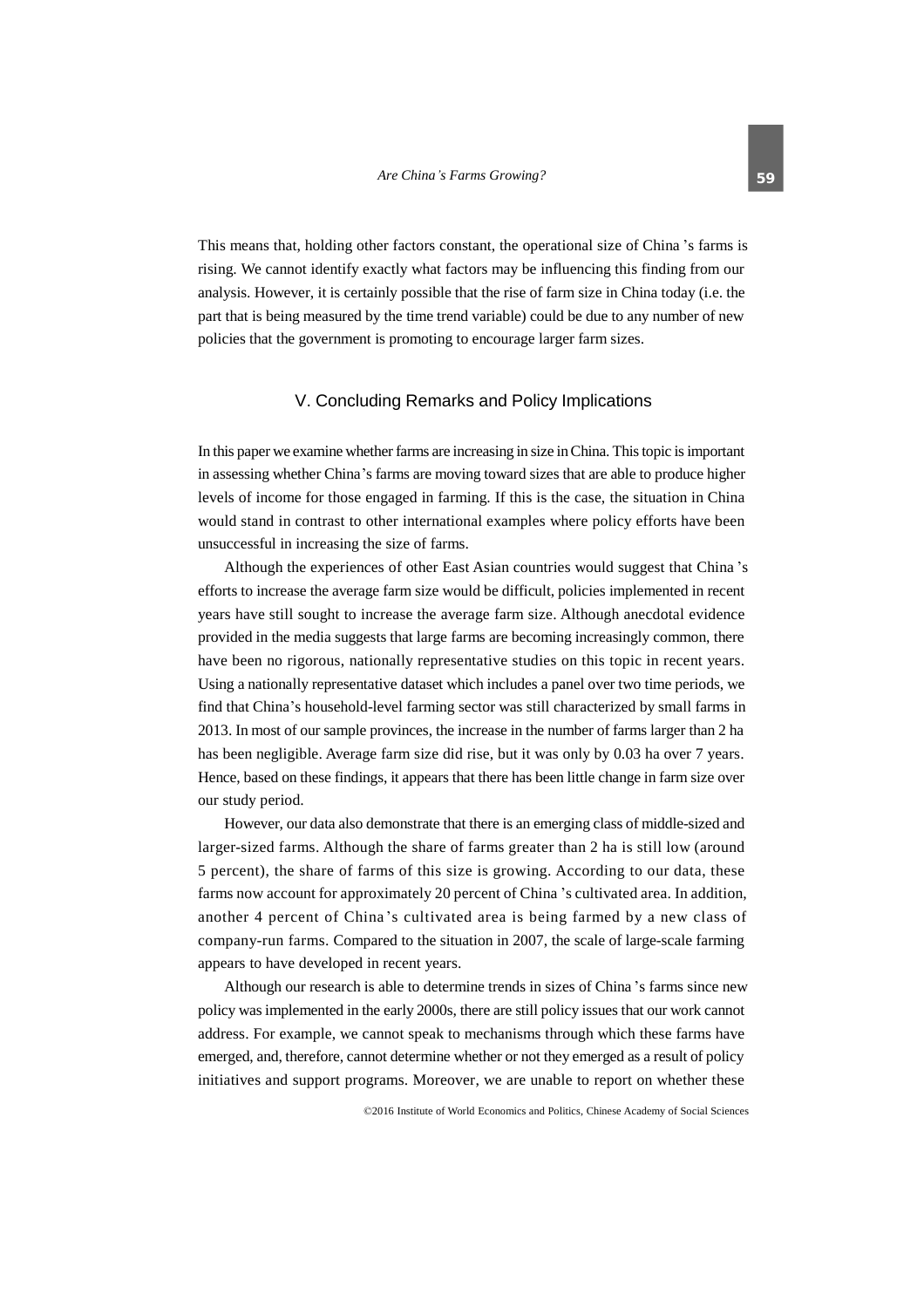This means that, holding other factors constant, the operational size of China 's farms is rising. We cannot identify exactly what factors may be influencing this finding from our analysis. However, it is certainly possible that the rise of farm size in China today (i.e. the part that is being measured by the time trend variable) could be due to any number of new policies that the government is promoting to encourage larger farm sizes.

## V. Concluding Remarks and Policy Implications

In this paper we examine whether farms are increasing in size inChina. Thistopic isimportant in assessing whether China's farms are moving toward sizes that are able to produce higher levels of income for those engaged in farming. If this is the case, the situation in China would stand in contrast to other international examples where policy efforts have been unsuccessful in increasing the size of farms.

Although the experiences of other East Asian countries would suggest that China 's efforts to increase the average farm size would be difficult, policies implemented in recent years have still sought to increase the average farm size. Although anecdotal evidence provided in the media suggests that large farms are becoming increasingly common, there have been no rigorous, nationally representative studies on this topic in recent years. Using a nationally representative dataset which includes a panel over two time periods, we find that China's household-level farming sector was still characterized by small farms in 2013. In most of our sample provinces, the increase in the number of farms larger than 2 ha has been negligible. Average farm size did rise, but it was only by 0.03 ha over 7 years. Hence, based on these findings, it appears that there has been little change in farm size over our study period.

However, our data also demonstrate that there is an emerging class of middle-sized and larger-sized farms. Although the share of farms greater than 2 ha is still low (around 5 percent), the share of farms of this size is growing. According to our data, these farms now account for approximately 20 percent of China 's cultivated area. In addition, another 4 percent of China 's cultivated area is being farmed by a new class of company-run farms. Compared to the situation in 2007, the scale of large-scale farming appears to have developed in recent years.

Although our research is able to determine trends in sizes of China 's farms since new policy wasimplemented in the early 2000s, there are still policy issues that our work cannot address. For example, we cannot speak to mechanisms through which these farms have emerged, and, therefore, cannot determine whether or not they emerged as a result of policy initiatives and support programs. Moreover, we are unable to report on whether these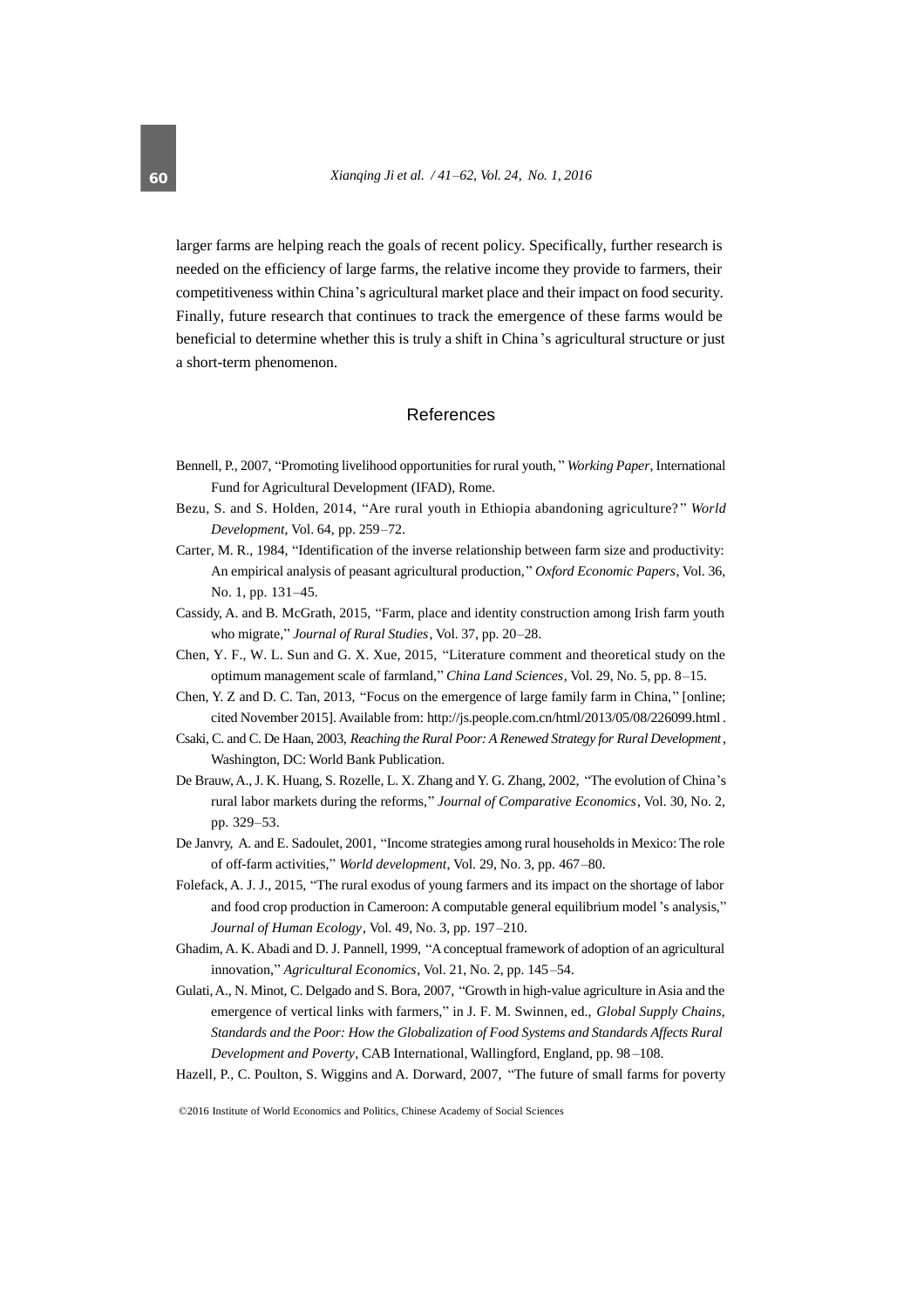larger farms are helping reach the goals of recent policy. Specifically, further research is needed on the efficiency of large farms, the relative income they provide to farmers, their competitiveness within China's agricultural market place and their impact on food security. Finally, future research that continues to track the emergence of these farms would be beneficial to determine whether this is truly a shift in China 's agricultural structure or just a short-term phenomenon.

## References

- Bennell, P., 2007, "Promoting livelihood opportunities for rural youth, " *Working Paper*, International Fund for Agricultural Development (IFAD), Rome.
- Bezu, S. and S. Holden, 2014, "Are rural youth in Ethiopia abandoning agriculture? " *World Development*, Vol. 64, pp. 259–72.
- Carter, M. R., 1984, "Identification of the inverse relationship between farm size and productivity: An empirical analysis of peasant agricultural production," *Oxford Economic Papers*, Vol. 36, No. 1, pp. 131–45.
- Cassidy, A. and B. McGrath, 2015, "Farm, place and identity construction among Irish farm youth who migrate," *Journal of Rural Studies*, Vol. 37, pp. 20–28.
- Chen, Y. F., W. L. Sun and G. X. Xue, 2015, "Literature comment and theoretical study on the optimum management scale of farmland," *China Land Sciences*, Vol. 29, No. 5, pp. 8–15.
- Chen, Y. Z and D. C. Tan, 2013, "Focus on the emergence of large family farm in China," [online; cited November 2015]. Available from: <http://js.people.com.cn/html/2013/05/08/226099.html> .
- Csaki, C. and C. De Haan, 2003, *Reaching the Rural Poor: A Renewed Strategy for Rural Development*, Washington, DC: World Bank Publication.
- De Brauw,A., J. K. Huang, S. Rozelle, L. X. Zhang and Y. G. Zhang, 2002, "The evolution of China's rural labor markets during the reforms," *Journal of Comparative Economics*, Vol. 30, No. 2, pp. 329–53.
- De Janvry, A. and E. Sadoulet, 2001, "Income strategies among rural households in Mexico: The role of off-farm activities," *World development*, Vol. 29, No. 3, pp. 467–80.
- Folefack, A. J. J., 2015, "The rural exodus of young farmers and its impact on the shortage of labor and food crop production in Cameroon: A computable general equilibrium model's analysis," *Journal of Human Ecology*, Vol. 49, No. 3, pp. 197–210.
- Ghadim, A. K.Abadi and D. J. Pannell, 1999, "Aconceptual framework of adoption of an agricultural innovation," *Agricultural Economics*, Vol. 21, No. 2, pp. 145–54.
- Gulati,A., N. Minot, C. Delgado and S. Bora, 2007, "Growth in high-value agriculture inAsia and the emergence of vertical links with farmers," in J. F. M. Swinnen, ed., *Global Supply Chains, Standards and the Poor: How the Globalization of Food Systems and Standards Affects Rural Development and Poverty*, CAB International, Wallingford, England, pp. 98 –108.
- Hazell, P., C. Poulton, S. Wiggins and A. Dorward, 2007, "The future of small farms for poverty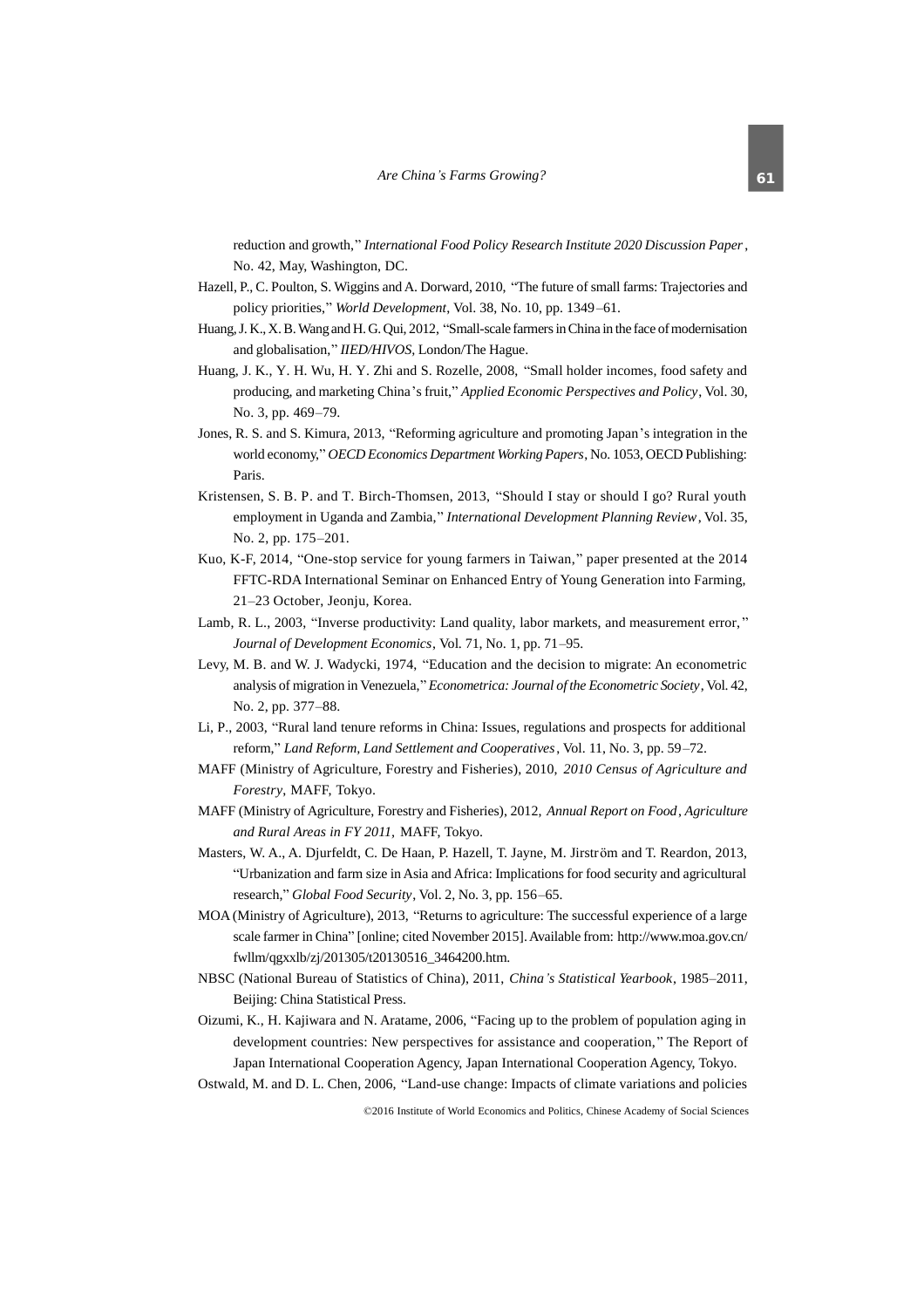reduction and growth," *International Food Policy Research Institute 2020 Discussion Paper*, No. 42, May, Washington, DC.

- Hazell, P., C. Poulton, S. Wiggins and A. Dorward, 2010. "The future of small farms: Trajectories and policy priorities," *World Development*, Vol. 38, No. 10, pp. 1349–61.
- Huang, J. K., X. B. Wang and H. G. Qui, 2012, "Small-scale farmers in China in the face of modernisation and globalisation," *IIED/HIVOS,* London/The Hague.
- Huang, J. K., Y. H. Wu, H. Y. Zhi and S. Rozelle, 2008, "Small holder incomes, food safety and producing, and marketing China's fruit," *Applied Economic Perspectives and Policy*, Vol. 30, No. 3, pp. 469-79.
- Jones, R. S. and S. Kimura, 2013, "Reforming agriculture and promoting Japan's integration in the world economy," *OECD Economics Department Working Papers*, No. 1053, OECD Publishing: Paris.
- Kristensen, S. B. P. and T. Birch-Thomsen, 2013, "Should I stay or should I go? Rural youth employment in Uganda and Zambia," *International Development Planning Review*, Vol. 35, No. 2, pp. 175–201.
- Kuo, K-F, 2014, "One-stop service for young farmers in Taiwan," paper presented at the 2014 FFTC-RDA International Seminar on Enhanced Entry of Young Generation into Farming, 21–23 October, Jeonju, Korea.
- Lamb, R. L., 2003, "Inverse productivity: Land quality, labor markets, and measurement error, " *Journal of Development Economics*, Vol. 71, No. 1, pp. 71–95.
- Levy, M. B. and W. J. Wadycki, 1974, "Education and the decision to migrate: An econometric analysis of migration in Venezuela," *Econometrica: Journal of the Econometric Society*, Vol. 42, No. 2, pp. 377–88.
- Li, P., 2003, "Rural land tenure reforms in China: Issues, regulations and prospects for additional reform," *Land Reform, Land Settlement and Cooperatives*, Vol. 11, No. 3, pp. 59–72.
- MAFF (Ministry of Agriculture, Forestry and Fisheries), 2010, *2010 Census of Agriculture and Forestry*, MAFF, Tokyo.
- MAFF (Ministry of Agriculture, Forestry and Fisheries), 2012, *Annual Report on Food*, *Agriculture and Rural Areas in FY 2011,* MAFF, Tokyo.
- Masters, W. A., A. Djurfeldt, C. De Haan, P. Hazell, T. Jayne, M. Jirström and T. Reardon, 2013, "Urbanization and farm size in Asia and Africa: Implications for food security and agricultural research," *Global Food Security*, Vol. 2, No. 3, pp. 156–65.
- MOA (Ministry of Agriculture), 2013, "Returns to agriculture: The successful experience of a large scale farmer in China" [online; cited November 2015]. Available from: <http://www.moa.gov.cn/> fwllm/qgxxlb/zj/201305/t20130516\_3464200.htm.
- NBSC (National Bureau of Statistics of China), 2011, *China's Statistical Yearbook*, 1985–2011, Beijing: China Statistical Press.
- Oizumi, K., H. Kajiwara and N. Aratame, 2006, "Facing up to the problem of population aging in development countries: New perspectives for assistance and cooperation," The Report of Japan International Cooperation Agency, Japan International Cooperation Agency, Tokyo.
- Ostwald, M. and D. L. Chen, 2006, "Land-use change: Impacts of climate variations and policies